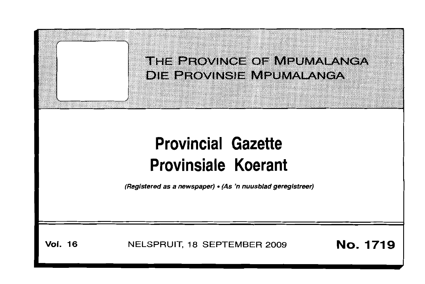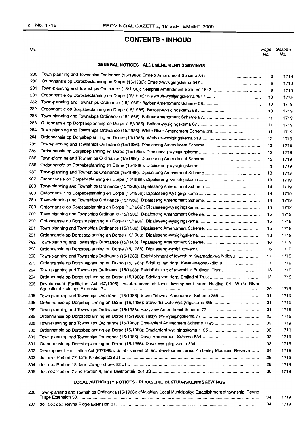### **CONTENTS • INHOUD**

No.

*Page Gazette* No. No.

### **GENERAL NOTICES· ALGEMENE KENNISGEWINGS**

| 280 |                                                                                                           | 9  | 1719 |
|-----|-----------------------------------------------------------------------------------------------------------|----|------|
| 280 |                                                                                                           | 9  | 1719 |
| 281 |                                                                                                           | 9  | 1719 |
| 281 |                                                                                                           | 10 | 1719 |
| 282 |                                                                                                           | 10 | 1719 |
| 282 |                                                                                                           | 10 | 1719 |
| 283 |                                                                                                           | 11 | 1719 |
| 283 |                                                                                                           | 11 | 1719 |
| 284 | Town-planning and Townships Ordinance (15/1986): White River Amendment Scheme 318                         | 11 | 1719 |
| 284 |                                                                                                           | 12 | 1719 |
| 285 |                                                                                                           | 12 | 1719 |
| 285 |                                                                                                           | 12 | 1719 |
| 286 |                                                                                                           | 13 | 1719 |
| 286 |                                                                                                           | 13 | 1719 |
| 287 |                                                                                                           | 13 | 1719 |
| 287 |                                                                                                           | 13 | 1719 |
| 288 |                                                                                                           | 14 | 1719 |
| 288 |                                                                                                           | 14 | 1719 |
| 289 |                                                                                                           | 14 | 1719 |
| 289 |                                                                                                           | 15 | 1719 |
| 290 |                                                                                                           | 15 | 1719 |
| 290 |                                                                                                           | 15 | 1719 |
| 291 |                                                                                                           | 15 | 1719 |
| 291 |                                                                                                           | 16 | 1719 |
| 292 |                                                                                                           | 16 | 1719 |
| 292 |                                                                                                           | 16 | 1719 |
| 293 | Town-planning and Townships Ordinance (15/1986): Establishment of township: Kwamadakwa-Ndlovu             | 17 | 1719 |
| 293 |                                                                                                           | 17 | 1719 |
| 294 |                                                                                                           | 18 | 1719 |
| 294 |                                                                                                           | 18 | 1719 |
| 295 | Development Facilitation Act (67/1995): Establishment of land development area: Holding 94, White River   | 20 | 1719 |
| 298 | Town-planning and Townships Ordinance (15/1986): Steve Tshwete Amendment Scheme 355                       | 31 | 1719 |
| 298 |                                                                                                           | 31 | 1719 |
|     | 299 Town-planning and Townships Ordinance (15/1986): Hazyview Amendment Scheme 77                         | 31 | 1719 |
| 299 |                                                                                                           | 32 | 1719 |
| 300 |                                                                                                           | 32 | 1719 |
| 300 |                                                                                                           | 32 | 1719 |
| 301 |                                                                                                           | 33 | 1719 |
| 301 |                                                                                                           | 33 | 1719 |
| 302 | Development Facilitation Act (67/1995): Establishment of land development area: Amberley Mountain Reserve | 24 | 1719 |
| 303 |                                                                                                           | 26 | 1719 |
| 304 |                                                                                                           | 28 | 1719 |
| 305 |                                                                                                           | 30 | 1719 |

### **LOCAL AUTHORITY NOTICES· PLAASLIKE BESTUURSKENNISGEWINGS**

| 206 Town-planning and Townships Ordinance (15/1986): eMalahleni Local Municipality: Establishment of township: Reyno |  |      |
|----------------------------------------------------------------------------------------------------------------------|--|------|
|                                                                                                                      |  | 1719 |
|                                                                                                                      |  | 1719 |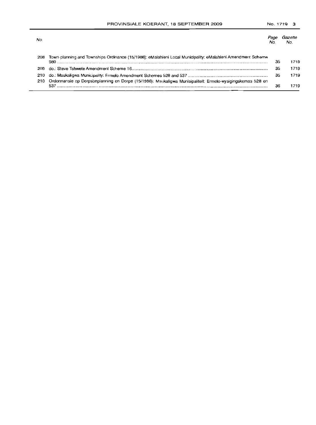| No.  |                                                                                                                     |    | No.  |
|------|---------------------------------------------------------------------------------------------------------------------|----|------|
| 208  | Town-planning and Townships Ordinance (15/1986): eMalahleni Local Municipality: eMalahleni Amendment Scheme<br>980. | 35 | 1719 |
| 209  |                                                                                                                     | 35 | 1719 |
| 210. |                                                                                                                     | 35 | 1719 |
| 210  | Ordonnansie op Dorpsbeplanning en Dorpe (15/1986); Msukaligwa Munisipaliteit: Ermelo-wysigingskemas 528 en          | 36 | 1719 |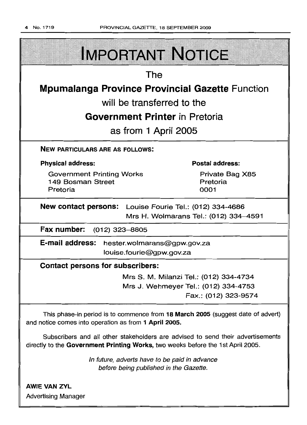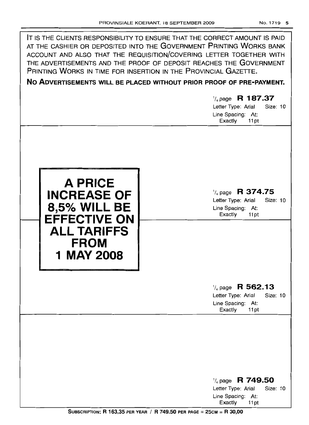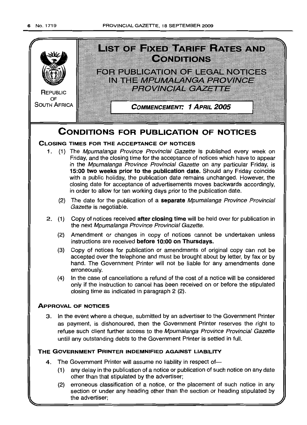

(2) erroneous classification of a notice, or the placement of such notice in any section or under any heading other than the section or heading stipulated by the advertiser;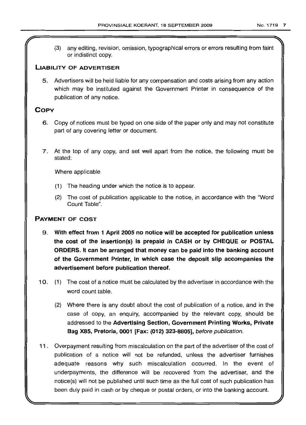(3) any editing, revision, omission, typographical errors or errors resulting from faint or indistinct copy.

### **LIABILITY OF ADVERTISER**

5. Advertisers will be held liable for any compensation and costs arising from any action which may be instituted against the Government Printer in consequence of the publication of any notice.

### **COpy**

- 6. Copy of notices must be typed on one side of the paper only and may not constitute part of any covering letter or document.
- 7. At the top of any copy, and set well apart from the notice, the following must be stated:

Where applicable

- (1) The heading under which the notice is to appear.
- (2) The cost of publication applicable to the notice, in accordance with the "Word Count Table".

### **PAYMENT OF COST**

- 9. **With effect from 1 April 2005 no notice will be accepted for publication unless the cost of the insertion(s) is prepaid in CASH or by CHEQUE or POSTAL ORDERS. It can be arranged that money can be paid into the banking account of the Government Printer, in which case the deposit slip accompanies the advertisement before publication thereof.**
- 10. (1) The cost of a notice must be calculated by the advertiser in accordance with the word count table.
	- (2) Where there is any doubt about the cost of publication of a notice, and in the case of copy, an enquiry, accompanied by the relevant copy, should be addressed to the **Advertising Section, Government Printing Works, Private Bag X85, Pretoria, 0001 [Fax: (012) 323-8EI05],** before publication.
- **11.** Overpayment resulting from miscalculation on the part of the advertiser of the cost of publication of a notice will not be refunded, unless the advertiser furnishes adequate reasons why such miscalculation occurred. In the event of underpayments, the difference will be recovered from the advertiser, and the notice(s) will not be published until such time as 1the full cost of such publication has been duly paid in cash or by cheque or postal orders, or into the banking account.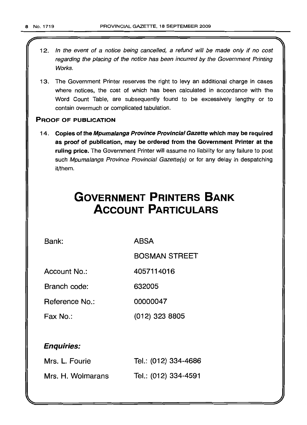- 12. In the event of a notice being cancelled, a refund will be made only if no cost regarding the placing of the notice has been incurred by the Government Printing Works.
- 13. The Government Printer reserves the right to levy an additional charge in cases where notices, the cost of which has been calculated in accordance with the Word Count Table, are subsequently found to be excessively lengthy or to contain overmuch or complicated tabulation.

### PROOF OF PUBLICATION

14. Copies of the Mpumalanga Province Provincial Gazette which may be required as proof of publication, may be ordered from the Government Printer at the ruling price. The Government Printer will assume no liability for any failure to post such Mpumalanga Province Provincial Gazette(s) or for any delay in despatching it/them.

# **GOVERNMENT PRINTERS BANK ACCOUNT PARTICULARS**

Bank: ABSA

BOSMAN STREET

Account No.: 4057114016

Branch code: 632005

Reference No.: 00000047

Fax No.: (012) 323 8805

### Enquiries:

| Mrs. L. Fourie    | Tel.: (012) 334-4686 |
|-------------------|----------------------|
| Mrs. H. Wolmarans | Tel.: (012) 334-4591 |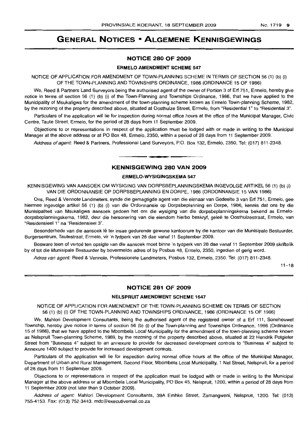## **GENERAL NOTICES • ALGEMENE KENNISGEWINGS**

#### **NOTICE 280 OF 2009**

#### **ERMELO AMENDMENT SCHEME 547**

NOTICE OF APPLICATION FOR AMENDMENT OF TOWN-PLANNING SCHEME IN TERMS OF SECTION 56 (1) (b) (i) OF THE TOWN-PLANNING AND TOWNSHIPS ORDINANCE, 1986 (ORDINANCE 15 OF 1986)

We, Reed & Partners Land Surveyors being the authorised agent of the owner of Portion 3 of Erf 751, Ermelo, hereby give notice in terms of section 56 (1) (b) (i) of the Town-Planning and Townships Ordinance, 1986, that we have applied to the Municipality of Msukaligwa for the amendment of the town-planning scheme known as Ermelo Town-planning Scheme, 1982, by the rezoning of the property described above, situated at Oosthuize Street, Ermelo, from "Residential 1" to "Residential 3".

Particulars of the application will lie for inspection during normal office hours at the office of the Municipal Manager, Civic Centre, Taute Street, Ermelo, for the period of 28 days from 11 September 2009.

Objections to or representations in respect of the application must be lodged with or made in writing to the Municipal Manager at the above address or at PO Box 48, Ermelo, 2350, within a period of 28 days from 11 September 2009.

Address of agent: Reed & Partners, Professional Land Surveyors, P.O. Box 132, Ermelo, 2350. Tel: (017) 811-2348.

### **KENNISGEWING 280 VAN 2009**

**-**

#### **ERMELO-WYSIGINGSKEMA 547**

KENNISGEWING VAN AANSOEK OM WYSIGING VAN DORPSBEPLANNINGSKEMA INGEVOLGE ARTIKEL 56 (1) (b) (i) VAN DIE ORDONNANSIE OP DORPSBEPLANNING EN DORPE, 1986 (ORDONNANSIE 15 VAN 1986)

Ons, Reed & Vennote Landmeters, synde die gemagtigde agent van die eienaar van Gedeelte 3 van Erf 751, Ermelo, gee hiermee ingevolge artikel 56 (1) (b) (i) van die Ordonnansie op Dorpsbeplanning en Dorpe, 1986, kennis dat ons by die Munisipaliteit van Msukaligwa aansoek gedoen het om die wysiging van die dorpsbeplanningskema bekend as Ermelodorpsbeplanningskema, 1982, deur die hersonering van die eiendom hierbo beskryf, geleë te Oosthuizestraat, Ermelo, van "Residensieel 1" na "Residensieel 3".

Besonderhede van die aansoek lê ter insae gedurende gewone kantoorure by die kantoor van die Munisipale Bestuurder, Burgersentrum, Tautestraat, Ermelo, vir 'n tydperk van 28 dae vanaf 11 September 2009.

Besware teen of vertoe ten opsigte van die aansoek moet binne 'n tydperk van 28 dae vanaf 11 September 2009 skriftelik by of tot die Munisipale Bestuurder by bovermelde adres of by Posbus 48, Ermelo, 2350, ingedien of gerig word.

Adres van agent: Reed & Vennote, Professionele Landmeters, Posbus 132, Ermelo, 2350. Tel: (017) 811-2348.

 $11 - 18$ 

### **NOTICE 281 OF 2009**

#### **NELSPRUIT AMENDMENT SCHEME 1647**

#### NOTICE OF APPLICATION FOR AMENDMENT OF THE TOWN-PLANNING SCHEME ON TERMS OF SECTION 56 (1) (b) (i) OF THE TOWN-PLANNING AND TOWNSHIPS ORDIINANCE, 1986 (ORDINANCE 15 OF 1986)

We, Mahlori Development Consultants, being the authorised agent of the registered owner of a Erf 111, Soneheuwel Township, hereby give notice in terms of section 56 (b) (i) of the Town-planning and Townships Ordinance, 1986 (Ordinance 15 of 1986), that we have applied to the Mbombela Local Municipality for the amendment of the town-planning scheme known as Nelspruit Town-planning Scheme, 1989, by the rezoning of the property described above, situated at 22 Hendrik Potgieter Street from "Business 4" subject to an annexure to provide for decreased development controls to "Business 4" subject to Annexure 1400 subject to provide for increased development controls.

Particulars of the application will lie for inspection during normal office hours at the office of the Municipal Manager, Department of Urban and Rural Management, Second Floor, Mbombela Local Municipality, 1 Nel Street, Nelspruit, for a period of 28 days from 11 September 2009.

Objections to or representations in respect of the application must be lodged with or made in writing to the Municipal Manager at the above address or at Mbombela Local Municipality, PO Box 45, Nelspruit, 1200, within a period of 28 days from 11 September 2009 (not later than 9 October 2009).

Address of agent: Mahlori Development Consultants, 39A Emhke Street, Zamangweni, Nelspruit, 1200. Tel: (013) 755-4153. Fax: (013) 752-3443. mdc@executivemail.co.za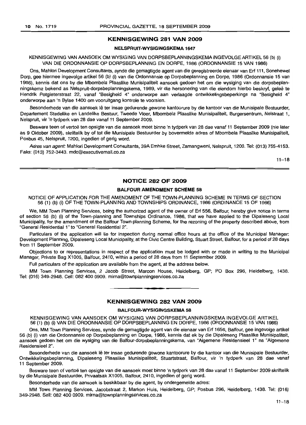#### **KENNISGEWING 281 VAN 2009**

#### **NELSPRUIT·WYSIGINGSKEMA 1647**

#### KENNISGEWING VAN AANSOEK OM WYSIGING VAN DORPSBEPLANNINGSKEMA INGEVOLGE ARTIKEL 56 (b) (i) VAN DIE ORDONNANSIE OP DORPSBEPLANNING EN DORPE, 1986 (ORDONNANSIE 15 VAN 1986)

Ons, Mahlori Development Consultants, synde die gemagtigde agent van die geregistreerde eienaar van Erf 111, Sonehewel Dorp, gee hiermee ingevolge artikel 56 (b) (i) van die Ordonnansie op Dorpsbeplanning en Dorpe, 1986 (Ordonnansie 15 van 1986), kennis dat ons by die Mbombela Plaaslike Munisipaliteit aansoek gedoen het om die wysiging van die dorpsbeplanningskema bekend as Nelspruit-dorpsbeplanningskema, 1989, vir die hersonering van die eiendom hierbo beskryf, geleë te Hendrik Potgieterstraat 22, vanaf "Besigheid 4" onderworpe aan verlaagde ontwikkelingsbeperkings na "Besigheid 4" onderworpe aan 'n Bylae 1400 om vooruitgang kontrole te voorsien.

Besonderhede van die aansoek lê ter insae gedurende gewone kantoorure by die kantoor van die Munisipale Bestuurder, Departement Stedelike en Landelike Bestuur, Tweede Vloer, Mbombela Plaaslike Munisipaliteit, Burgersentrum, Nelstraat 1, Nelspruit, vir 'n tydperk van 28 dae vanaf 11 September 2009.

Besware teen of vertoë ten opsigte van die aansoek moet binne 'n tydperk van 28 dae vanaf 11 September 2009 (nie later as 9 Oktober 2009), skriftelik by of tot die Munisipale Bestuurder by bovermelde adres of Mbombela Plaaslike Munisipaliteit, Posbus 45, Nelspruit, 1200, ingedien of gerig word.

Adres van agent: Mahlori Development Consultants, 39A Emhke Street, Zamangweni, Nelspruit, 1200. Tel: (013) 755-4153. Faks: (013) 752-3443. mdc@executivemail.co.za

 $11 - 18$ 

### **NOTICE 282 OF 2009**

#### **BALFOUR AMENDMENT SCHEME 58**

#### NOTICE OF APPLICATION FOR THE AMENDMENT OF THE TOWN-PLANNING SCHEME IN TERMS OF SECTION 56 (1) (b) (i) OF THE TOWN-PLANNING AND TOWNSHIPS ORDINANCE, 1986 (ORDINANCE 15 OF 1986)

We, MM Town Planning Services, being the authorized agent of the owner of Erf 556, Balfour, hereby give notice in terms of section 56 (b) (i) of the Town-planning and Townships Ordinance, 1986, that we have applied to the Dipaleseng Local Municipality, for the amendment of the Balfour Town-planning Scheme, for the rezoning of the property described above, from "General Residential 1" to "General Residential 2".

Particulars of the application will lie for inspection during normal office hours at the office of the Municipal Manager: Development Planning, Dipaleseng Local Municipality, at the Civic Centre Building, Stuart Street, Balfour, for a period of 28 days from 11 September 2009.

Objections to or representations in respect of the application must be lodged with or made in writing to the Municipal Manager, Private Bag X1005, Balfour, 2410, within a period of 28 days from 11 September 2009.

Full particulars of the application are available from the agent, at the address below.

MM Town Planning Services, 2 Jacob Street, Marcon House, Heidelberg, GP; PO Box 296, Heidelberg, 1438. Tel: (016) 349-2948. Cell: 082 400 0909. mirna@townplanningservices.co.za

#### **KENNISGEWING 282 VAN 2009**

**•**

#### **BALFOUR·WYSIGINGSKEMA 58**

KENNISGEWING VAN AANSOEK OM WYSIGING VAN DORPSBEPLANNINGSKEMA INGEVOLGE ARTIKEL 56 (1) (b) (i) VAN DIE ORDONNANSIE OP DORPSBEPLANNING EN DORPE, 1986 (ORDONNANSIE 15 VAN 1986)

Ons, MM Town Planning Services, synde die gemagtigde agent van die eienaar van Erf 1656, Balfour, gee ingevolge artikel 56 (b) (i) van die Ordonnansie op Dorpsbeplanning en Dorpe, 1986, kennis dat ek by die Dipaleseng Plaaslike Munisipaliteit, aansoek gedoen het om die wysiging van die Balfour-dorpsbeplanningskema, van "Algemene Residensieel 1" na "Algemene Residensieel 2".

Besonderhede van die aansoek lê ter insae gedurende gewone kantoorure by die kantoor van die Munisipale Bestuurder, Ontwikkelingsbeplanning, Dipaleseng Plaaslike Munisipaliteit, Stuartstraat, Balfour, vir 'n tydperk van 28 dae vanaf **11** September 2009.

Besware teen of vertoe ten opsiqte van die aansoek moet binne 'n tydperk van 28 dae vanaf 11 September 2009 skriftelik by die Munisipale Bestuurder, Privaatsak X1005, Balfour, 2410, ingedien of gerig word.

Besonderhede van die aansoek is beskikbaar by die agent, by ondergemelde adres:

MM Town Planning Services, Jacobstraat 2, Markon Huis, Heidelberg, GP; Posbus 296, Heidelberg, 1438. Tel: (016) 349-2948. Sell: 082 400 0909. mirna@townplanningservices.co.za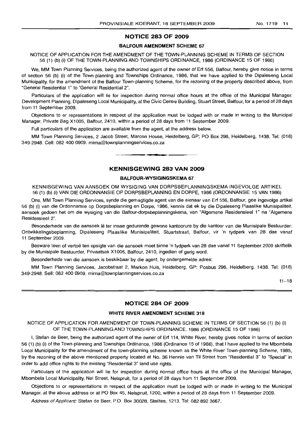### NOTICE 283 OF 2009

#### BALFOUR AMENDMENT SCHEME 67

NOTICE OF APPLICATION FOR THE AMENDMENT OF THE TOWN-PLANNING SCHEME IN TERMS OF SECTION 56 (1) (b) (i) OF THE TOWN·PLANNING AND TOWNSHIPS ORDINANCE, 1986 (ORDINANCE 15 OF 1986)

We, MM Town Planning Services, being the authorized agent of the owner of Erf 556, Balfour, hereby give notice in terms of section 56 (b) (i) of the Town-planning and Townships Ordinance, 1986, that we have applied to the Dipaleseng Local Municipality, for the amendment of the Balfour Town-planning Scheme, for the rezoning of the property described above, from "General Residential 1" to "General Residential 2".

Particulars of the application will lie for inspection during normal office hours at the office of the Municipal Manager: Development Planning, Dipaleseng Local Municipality, at the Civic Centre Building, Stuart Street, Balfour, for a period of 28 days from 11 September 2009.

Objections to or representations in respect of the application must be lodged with or made in writing to the Municipal Manager, Private Bag X1005, Balfour, 2410, within a period of 28 days from 11 September 2009.

Full particulars of the application are available from the agent, at the address below.

MM Town Planning Services, 2 Jacob Street, Marcon House, Heidelberg, GP; PO Box 296, Heidelberg, 1438. Tel: (016) 349-2948. Cell: 082 400 0909. mirna@townplanningservices.co.za

#### KENNISGEWING 283 VAN 2009

**-**

#### BALFOUR-WYSIGINGSKEMA 67

KENNISGEWING VAN AANSOEK OM WYSIGING VAN DORPSBEPLANNINGSKEMA INGEVOLGE ARTIKEL 56 (1) (b) (i) VAN DIE ORDONNANSIE OP DORPSBEPLANNING EN DORPE, 1986 (ORDONNANSIE 15 VAN 1986)

Ons, MM Town Planning Services, synde die gemagtigde agent van die eienaar van Erf 556, Balfour, gee ingevolge artikel 56 (b) (i) van die Ordonnansie op Dorpsbeplanning en Dorpe, 1986, kennis dat ek by die Dipaleseng Plaaslike Munisipaliteit, aansoek gedoen het om die wysiging van die Balfour-dorpsbeplanningskema, van "Algemene Residensieel 1" na "Algemene Residensieel 2".

Besonderhede van die aansoek lê ter insae gedurende gewone kantoorure by die kantoor van die Munisipale Bestuurder: Ontwikkelingsbeplanning, Dipaleseng Plaaslike Munisipaliteit, Stuartstraat, Balfour, vir 'n tydperk van 28 dae vanaf 11 September 2009.

Besware teen of vertoë ten opsigte van die aansoek moet binne 'n tydperk van 28 dae vanaf 11 September 2009 skriftelik by die Munisipale Bestuurder, Privaatsak X1005, Balfour, 2410, ingedien of gerig word.

Besonderhede van die aansoek is beskikbaar by die agent, by ondergemelde adres:

MM Town Planning Services, Jacobstraat 2, Markon Huis, Heidelberg, GP; Posbus 296, Heidelberg, 1438. Tel: (016) 349-2948. Sell: 082 400 0909. mirna@townplanningservices.co.za

 $11 - 18$ 

#### NOTICE 284 OF 2009

#### WHITE RIVER AMENDMENT SCHEME 318

NOTICE OF APPLICATION FOR AMENDMENT OF TOWN-PLANNING SCHEME IN TERMS OF SECTION 56 (1) (b) (i) OF THE TOWN-PLANNING AND TOWNSHIPS ORDINANCE, 1986 (ORDINANCE 15 OF 1986)

I, Stefan de Beer, being the authorized agent of the owner of Erf 114, White River, hereby gives notice in terms of section 56 (1) (b) (i) of the Town-planning and Townships Ordinance, 1986 (Ordinance 15 of 1986), that I have applied to the Mbombela Local Municipality for the amendment of the town-planning scheme known as the White River Town-planning Scheme, 1985, by the rezoning of the above mentioned property located at No. 36 Hennie van Til Street from "Residential 3" to "Special" in order to add office rights to the existing "Residential 3" land use rights.

Particulars of the application will lie for inspection during normal office hours at the office of the Municipal Manager, Mbombela Local Municipality, Nel Street, Nelspruit, for a period of 28 days from 11 September 2009.

Objections to or representations in respect of the application must be lodged with or made in writing to the Municipal Manager, at the above address or at PO Box 45, Nelspruit, 1200, within a period of 28 days from 11 September 2009.

Address of Applicant: Stefan de Beer, P.O. Box 30028, Steiltes, 1213. Tel: 082 892 3667.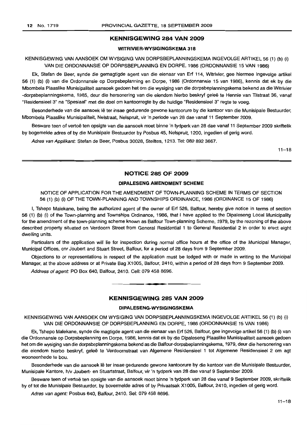#### **KENNISGEWING 284 VAN 2009**

#### **WITRIVIER·WYSIGINGSKEMA 318**

### KENNISGEWING VAN AANSOEK OM WYSIGING VAN DORPSBEPLANNINGSKEMA INGEVOLGE ARTIKEL 56 (1) (b) (i) VAN DIE ORDONNANSIE OP DORPSBEPLANNING EN DORPE, 1986 (ORDONNANSIE 15 VAN 1986)

Ek, Stefan de Beer, synde die gemagtigde agent van die eienaar van Ert 114, Witrivier, gee hiermee ingevolge artikel 56 (1) (b) (i) van die Ordonnansie op Dorpsbeplanning en Dorpe, 1986 (Ordonnansie 15 van 1986), kennis dat ek by die Mbombela Plaaslike Munisipaliteit aansoek gedoen het om die wysiging van die dorpsbeplanningskema bekend as die Witrivier -dorpsbeplanningskema, 1985, deur die hersonering van die eiendom hierbo beskryf gelee te Hennie van Tilstraat 36, vanaf "Residensieel 3" na "Spesiaal" met die doel om kantoorregte by die huidige "Residensieel 3" regte te voeg.

Besonderhede van die aansoek lê ter insae gedurende gewone kantoorure by die kantoor van die Munisipale Bestuurder, Mbombela Plaaslike Munisipaliteit, Nelstraat, Nelspruit, vir 'n periode van 28 dae vanaf 11 September 2009.

Besware teen of vertoe ten opsigte van die aansoek moet binne 'n tydperk van 28 dae vanaf 11 September 2009 skriftelik by bogemelde adres of by die Munisipale Bestuurder by Posbus 45, Nelspruit, 1200, ingedien of gerig word.

Adres van Applikant: Stefan de Beer, Posbus 30028, Steiltes, 1213. Tel: 082 892 3667.

 $11 - 18$ 

#### **NOTICE 285 OF 2009**

#### **DIPALESENG AMENDMENT SCHEME**

NOTICE OF APPLICATION FOR THE AMENDMENT OF TOWN-PLANNING SCHEME IN TERMS OF SECTION 56 (1) (b) (i) OF THE TOWN-PLANNING AND TOWNSHIPS ORDINANCE, 1986 (ORDINANCE 15 OF 1986)

I, Tshepo Malekane, being the authorized agent of the owner of Ert 526, Balfour, hereby give notice in terms of section 56 (1) (b) (i) of the Town-planning and Townships Ordinance, 1986, that I have applied to the Dipaleseng Local Municipality for the amendment of the town-planning scheme known as Balfour Town-planning Scheme, 1979, by the rezoning of the above described property situated on Verdoorn Street from General Residential 1 to General Residential 2 in order to erect eight dwelling units.

Particulars of the application will lie for inspection during normal office hours at the office of the Municipal Manager, Municipal Offices, cnr Joubert and Stuart Street, Balfour, for a period of 28 days from 9 September 2009.

Objections to or representations in respect of the application must be lodged with or made in writing to the Municipal Manager, at the above address or at Private Bag X1005, Balfour, 2410, within a period of 28 days trom 9 September 2009.

Address of agent: PO Box 640, Balfour, 2410. Cell: 079 458 8696.

#### **KENNISGEWING 285 VAN 2009**

**•**

#### **DIPALESENG·WYSIGINGSKEMA**

KENNISGEWING VAN MNSOEK OM WYSIGING VAN DORPSBEPLANNINGSKEMA INGEVOLGE ARTIKEL 56 (1) (b) (i) VAN DIE ORDONNANSIE OP DORPSBEPLANNING EN DORPE, 1986 (ORDONNANSIE 15 VAN 1986)

Ek, Tshepo Malekane, synde die magtigde agent van die eienaar van Ert 526, Balfour, gee ingevolge artikel 56 (1) (b) (i) van die Ordonnansie op Dorpsbeplanning en Dorpe, 1986, kennis dat ek by die Dipaleseng Plaaslike Munisipaliteit aansoek gedoen het om die wysiging van die dorpsbepfanningskema bekend as die Balfour-dorpsbeplanningskema, 1979, deur die hersonering van die eiendom hierbo beskryf, geleë te Verdoornstraat van Algemene Residensieel 1 tot Algemene Residensieel 2 om agt wooneenhede te bou.

Besonderhede van die aansoek lê ter insae gedurende gewone kantoorure by die kantoor van die Munisipale Bestuurder, Munisipale Kantore, h/v Joubert- en Stuartstraat, Balfour, vir 'n tydperk van 28 dae vanaf 9 September 2009.

Besware teen of vertoe ten opsigte van die aansoek moet binne 'n tydperk van 28 dae vanaf 9 September 2009, skriftelik by of tot die Munisipale Bestuurder, by bovermelde adres of by Privaatsak X1005, Balfour, 2410, ingedien of gerig word.

Adres van agent: Posbus 640, Balfour, 2410. Sel: 079 458 8696.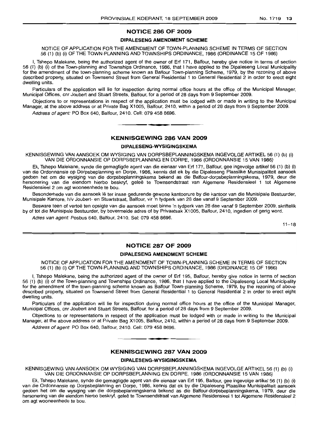#### **NOTICE 286 OF 2009**

#### **DIPALESENG AMENDMENT SCHEME**

NOTICE OF APPLICATION FOR THE AMENDMENT OF TOWN-PLANNING SCHEME IN TERMS OF SECTION 56 (1) (b) (i) OF THE TOWN-PLANNING AND TOWNSHIPS ORDINANCE, 1986 (ORDINANCE 15 OF 1986)

I, Tshepo Malekane, being the authorized agent of the owner of Erf 171, Balfour, hereby give notice in terms of section 56 (1) (b) (i) of the Town-planning and Townships Ordinance, 1986, that I have applied to the Dipaleseng Local Municipality for the amendment of the town-planning scheme known as Balfour Town-planning Scheme, 1979, by the rezoning of above described property, situated on Townsend Street from General Residential 1 to General Residential 2 in order to erect eight dwelling units.

Particulars of the application will lie for inspection during normal office hours at the office of the Municipal Manager, Municipal Offices, cnr Joubert and Stuart Streets, Balfour, for a period of 28 days from 9 September 2009.

Objections to or representations in respect of the application must be lodged with or made in writing to the Municipal Manager, at the above address or at Private Bag X1005, Balfour, 2410, within a period of 28 days from 9 September 2009.

Address of agent: PO Box 640, Balfour, 2410. Cell: 079 458 8696. **.-**

#### **KENNISGEWING 286 VAN 2009**

#### **DIPALESENG-WYSIGINGSKEMA**

KENNISGEWING VAN AANSOEK OM WYSIGING VAN DORPSBEPLANNINGSKEMA INGEVOLGE ARTIKEL 56 (1) (b) (i) VAN DIE ORDONNANSIE OP DORPSBEPLANNING EN DORPE, 1986 (ORDONNANSIE 15 VAN 1986)

Ek, Tshepo Malekane, synde die gemagtigde agent van die eienaar van Erf 171, Balfour, gee ingevolge artikel 56 (1) (b) (i) van die Ordonnansie op Dorpsbeplanning en Dorpe, 1986, kennis dat ek by die Dipaleseng Plaaslike Munisipaliteit aansoek gedoen het om die wysiging van die dorpsbeplanningskema bekend as die, Batfour-dorpsbeplanningskema, 1979, deur die hersonering van die eiendom hierbo beskryf, gelee te Townsendstraat van Algemene Residensieel 1 tot Algemene Residensieel 2 om agt wooneenhede te bou.

Besonderhede van die aansoek lê ter insae gedurende gewone kantoorure by die kantoor van die Munisipale Bestuurder, Munisipale Kantore, h/v Joubert- en Stuartstraat. Balfour, vir 'n tydperk van 28 dae vanaf 9 September 2009.

Besware teen of vertoë ten opsigte van die aansoek moet binne 'n tydperk van 28 dae vanaf 9 September 2009, skriftelik by of tot die Munisipale Bestuurder, by bovermelde adres of by Privaatsak X1005, Balfour, 2410, ingedien of gerig word.

Adres van agent: Posbus 640, Balfour, 2410. Sel: 079 458 8696.

 $11 - 18$ 

#### **NOTICE 287 OF 2009**

#### **DIPALESENG AMENDMENT SCHEME**

NOTICE OF APPLICATION FOR THE AMENDMENT OF TOWN-PLANNING SCHEME IN TERMS OF SECTION 56 (1) (b) (i) OF THE TOWN-PLANNING AND TOWNSHIPS ORDINANCE, 1986 (ORDINANCE 15 OF 1986)

I, Tshepo Malekane, being the authorized agent of the owner of Erf 195, Balfour, hereby give notice in terms of section 56 (1) (b) (i) of the Town-planning and Townships Ordinance, 1986, that I have applied to the Dipaleseng local Municipality for the amendment of the town-planning scheme known as Balfour Town-planning Scheme, 1979, by the rezoning of above described property, situated on Townsend Street from General Residential 1 to General Residential 2 in order to erect eight dwelling units.

Particulars of the application will lie for inspection during normal office hours at the office of the Municipal Manager, Municipal Offices, cnr Joubert and Stuart Streets, Balfour, for a period of 28 days from 9 September 2009.

Objections to or representations in respect of the application must be lodged with or made in writing to the Municipal Manager, at the above address or at Private Bag X1005, Balfour, 2410, within a period of 28 days from 9 September 2009.

Address of agent: PO Box 640, Balfour, 2410. Cell: 079 458 8696. **-.**

#### **KENNISGEWING 287 VAN 2009**

#### **DIPALESENG-WYSIGINGSKEMA**

KENNISGEWING VAN AANSOEK OM WYSIGING VAN DORPSBEPLANNINGSKEMA INGEVOLGE ARTIKEL 56 (1) (b) (i) VAN DIE ORDONNANSIE OP DORPSBEPLANNING EN DORPE, 1986 (ORDONNANSIE 15 VAN 1986)

Ek, Tshepo Malekane, synde die gemagtigde agent van die eienaar van Erf 195, Balfour, gee ingevolge artikel 56 (1) (b) (i) van die Ordonnansie op Dorpsbeplanning en Dorpe, 1986, kennis dat ek by die Dipaleseng Plaaslike Munisipaliteit aansoek gedoen het om die wysiging van die dorpsbeplanningskema bekend as die Batfour-dorpsbeplanningskema, 1979, deur die hersonering van die eiendom hierbo beskryf, qelee te Townsendstraat van Alqernene Residensieel 1 tot Aigemene Residensieel 2 om agt wooneenhede te bou.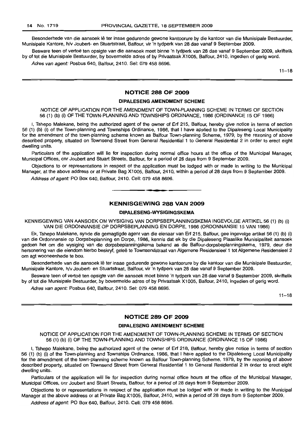Besonderhede van die aansoek lê ter insae gedurende gewone kantoorure by die kantoor van die Munisipale Bestuurder, Munisipale Kantore, h/v Joubert- en Stuartstraat, Balfour, vir 'n tydperk van 28 dae vanaf 9 September 2009.

Besware teen of vertoe ten opsigte van die aansoek moet binne 'n tydperk van 28 dae vanaf 9 September 2009, skriftelik by of tot die Munisipale Bestuurder, by bovermelde adres of by Privaatsak X1005, Balfour, 2410, ingedien of gerig word.

Adres van agent: Posbus 640, Balfour, 2410, Sel: 079 458 8696.

 $11 - 18$ 

#### **NOTICE 288 OF 2009**

#### **DIPALESENG AMENDMENT SCHEME**

NOTICE OF APPLICATION FOR THE AMENDMENT OF TOWN-PLANNING SCHEME IN TERMS OF SECTION 56 (1) (b) (i) OF THE TOWN-PLANNING AND TOWNSHIPS ORDINANCE, 1986 (ORDINANCE 15 OF 1986)

I, Tshepo Malekane, being the authorized agent of the owner of Erf 215, Balfour, hereby give notice in terms of section 56 (1) (b) (i) of the Town-planning and Townships Ordinance, 1986, that I have applied to the Dipaleseng Local Municipality for the amendment of the town-planning scheme known as Balfour Town-planning Scheme, 1979, by the rezoning of above described property, situated on Townsend Street from General Residential 1 to General Residential 2 in order to erect eight dwelling units.

Particulars of the application will lie for inspection during normal office hours at the office of the Municipal Manager, Municipal Offices, onr Joubert and Stuart Streets, Balfour, for a period of 28 days from 9 September 2009.

Objections to or representations in respect of the application must be lodged with or made in writing to the Municipal Manager, at the above address or at Private Bag X1005, Balfour, 2410, within a period of 28 days from 9 September 2009.

Address of agent: PO Box 640, Balfour, 2410. Cell: 079 458 8696.

#### **KENNISGEWING 288 VAN 2009**

**•**

#### **DIPALESENG-WYSIGINGSKEMA**

KENNISGEWING VAN AANSOEK OM WYSIGING VAN DORPSBEPLANNINGSKEMA INGEVOLGE ARTIKEL 56 (1) (b) (i) VAN DIE ORDONNANSIE OP DORPSBEPLANNING EN DORPE, 1986 (ORDONNANSIE 15 VAN 1986)

Ek, Tshepo Malekane, synde die gemagtigde agent van die eienaar van Erf 215, Balfour, gee ingevolge artikel 56 (1) (b) (i) van die Ordonnansie op Dorpsbeplanning en Dorpe, 1986, kennis dat ek by die Dipaleseng Plaaslike Munisipaliteit aansoek gedoen het om die wysiging van die dorpsbeplanningskema bekend as die Balfour-dorpsbeplanningskema, 1979, deur die hersonering van die eiendom hierbo beskryf, geleë te Townsendstraat van Algemene Residensieel 1 tot Algemene Residensieel 2 om agt wooneenhede te bou.

Besonderhede van die aansoek lê ter insae gedurende gewone kantoorure by die kantoor van die Munisipale Bestuurder, Munisipale Kantore, h/v Joubert- en Stuartstraat, Balfour, vir 'n tydperk van 28 dae vanaf 9 September 2009.

Besware teen of vertoë ten opsigte van die aansoek moet binne 'n tydperk van 28 dae vanaf 9 September 2009, skriftelik by of tot die Munisipale Bestuurder, by bovermelde adres of by Privaatsak X1005, Balfour, 2410, ingedien of gerig word.

Adres van agent: Posbus 640, Balfour, 2410. Sel: 079 458 8696.

 $11 - 18$ 

#### **NOTICE 289 OF 2009**

#### **DIPALESENG AMENDMENT SCHEME**

NOTICE OF APPLICATION FOR THE AMENDMENT OF TOWN-PLANNING SCHEME IN TERMS OF SECTION 56 (1) (b) (i) OF THE TOWN-PLANNING AND TOWNSHIPS ORDINANCE (ORDINANCE 15 OF 1986)

I, Tshepo Malekane, being the authorized agent of the owner of Erf 218, Balfour, hereby give notice in terms of section 56 (1) (b) (i) of the Town-planning and Townships Ordinance, 1986, that I have applied to the Dipaleseng Local Municipality for the amendment of the town-planning scheme known as Balfour Town-planning Scheme, 1979, by the rezoning of above described property, situated on Townsend Street from General Residential 1 to General Residential 2 in order to erect eight dwelling units.

Particulars of the application will lie for inspection during normal office hours at the office of the Municipal Manager, Municipal Offices, cnr Joubert and Stuart Streets, Balfour, for a period of 28 days from 9 September 2009.

Objections to or representations in respect of the application must be lodged with or made in writing to the Municipal Manager at the above address or at Private Bag X1005, Balfour, 2410, within a period of 28 days from 9 September 2009.

Address of agent: PO Box 640, Balfour, 2410. Cell: 079 458 8696.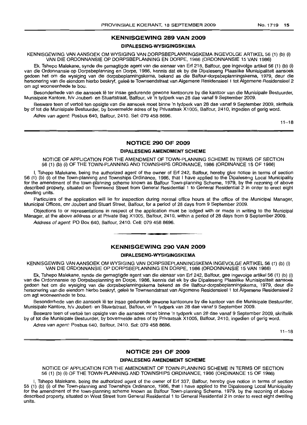#### **KENNISGEWING 289 VAN 2009**

#### **DIPALESENG-WYSIGINGSKEMA**

KENNISGEWING VAN AANSOEK OM WYSIGING VAN DORPSBEPLANN'INGSKEMA INGEVOLGE ARTIKEL 56 (1) (b) (i) VAN DIE ORDONNANSIE OP DORPSBEPLANNING EN DORPE, 1986 (ORDONNANSIE 15 VAN 1986)

Ek, Tshepo Malekane, synde die gemagtigde agent van die eienaar van Erf 218, Balfour, gee ingevolge artikel 56 (1) (b) (i) van die Ordonnansie op Dorpsbeplanning en Dorpe, 1986, kennis dat ek by die Dipaleseng Plaaslike Munisipaliteit aansoek gedoen het om die wysiging van die dorpsbeplanningskema, bekend as die Balfour-dorpsbeplanningskema, 1979, deur die hersonering van die eiendom hierbo beskryf, gelee te Townsendstraat van Aigemene Residensieel 1 tot Aigemene Residensieel 2 om agt wooneenhede te bou.

Besonderhede van die aansoek lê ter insae gedurende gewone kantoorure by die kantoor van die Munisipale Bestuurder, Munisipale Kantore, h/v Joubert- en Stuartstraat, Balfour, vir 'n tydperk van 28 dae vanaf 9 September 2009.

Besware teen of vertoë ten opsigte van die aansoek moet binne 'n tydperk van 28 dae vanaf 9 September 2009. skriftelik by of tot die Munisipale Bestuurder, by bovermelde adres of by Privaatsak X1005, Balfour, 2410, ingedien of gerig word.

Adres van agent: Posbus 640, Balfour, 2410, Sel: 079 458 8696.

 $11 - 18$ 

### **NOTICE 290 OF 200!9**

#### **DIPALESENG AMENDMENT SCHEME**

NOTICE OF APPLICATION FOR THE AMENDMENT OF TOWN-PLANNING SCHEME IN TERMS OF SECTION 56 (1) (b) (i) OF THE TOWN-PLANNING AND TOWNSHIPS ORDINANCE, 1986 (ORDINANCE 15 OF 1986)

I, Tshepo Malekane, being the authorized agent of the owner of Erf 242, Balfour, hereby give notice in terms of section 56 (1) (b) (i) of the Town-planning and Townships Ordinance, 1986, that I have applied to the Dipaleseng Local Municipality for the amendment of the town-planning scheme known as Balfour Town-planning Scheme, 1979, by the rezoning of above described property, situated on Townsend Street from General Residential 1 to General Residential 2 in order to erect eight dwelling units.

Particulars of the application will lie for inspection during normal office hours at the office of the Municipal Manager, Municipal Offices, em Joubert and Stuart Street, Balfour, for a period of 28 days from 9 September 2009.

Objections to or representations in respect of the application must be lodged with or made in writing to the Municipal Manager, at the above address or at Private Bag X1005, Balfour, 2410, within a period of 28 days from 9 September 2009.

Address of agent: PO Box 640, Balfour, 2410. Cell: 079 458 8696.

### **KENNISGEWING 290 VAN 2009**

**• •**

#### DIPALESENG-WYSIGINGSKEMA

KENNISGEWING VAN AANSOEK OM WYSIGING VAN DORPSBEPLANNINGSKEMA INGEVOLGE ARTIKEL 56 (1) (b) (i) VAN DIE ORDONNANSIE OP DORPSBEPLANNING EN DORPE, 1986 (ORDONNANSIE 15 VAN 1986)

Ek, Tshepo Malekane, synde die gemagtigde agent van die eienaar van Erf 242, Balfour, gee ingevolge artikel 56 (1) (b) (i) van die Ordonnansie op Dorpsbeplanning en Dorpe, 1986, kennis dat ek by die Dipaleseng Plaaslike Munisipaliteit aansoek gedoen het om die wysiging van die dorpsbeplanningskema bekend as die Balfour-dorpsbeplanningskema, 1979, deur die hersonering van die eiendom hierbo beskryf, geleë te Townsendstraat van Algemene Residensieel 1 tot Algemene Residensieel 2 om agt wooneenhede te bou.

Besonderhede van die aansoek lê ter insae gedurende gewone kantoorure by die kantoor van die Munisipale Bestuurder, Munisipale Kantore, h/v Joubert- en Stuartstraat, Balfour, vir 'n tydperk van 28 dae vanaf 9 September 2009.

Besware teen of vertoe ten opsigte van die aansoek moet binne 'n tydperk van 28 dae vanaf 9 September 2009, skriftelik by of tot die Munisipale Bestuurder, by bovermelde adres of by Privaatsak X1005, Balfour, 2410, ingedien of gerig word.

Adres van agent: Posbus 640, Balfour, 2410. Sel: 079 458 8696.

 $11 - 18$ 

#### **NOTICE 291 OF 2009**

#### **DIPALESENG AMENDMENT SCHEME**

NOTICE OF APPLICATION FOR THE AMENDMENT OF TOWN-PLANNING SCHEME IN TERMS OF SECTION 56 (1) (b) (i) OF THE TOWN-PLANNING AND TOWNSHIPS ORDINANCE, 1986 (ORDINANCE 15 OF 1986)

I, Tshepo Malekane, being the authorized agent of the owner of Erf 337, Balfour, hereby give notice in terms of section 56 (1) (b) (i) of the Town-planning and Townships Ordinance, 1986, that I have applied to the Dipaleseng Local Municipality for the amendment of the town-planning scheme known as Balfour Town-planning Scheme, 1979, by the rezoning of above described property, situated on West Street from General Residential 1 to General Residential 2 in order to erect eight dwelling units.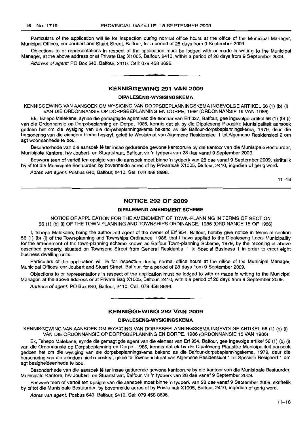Particulars of the application will lie for inspection during normal office hours at the office of the Municipal Manager, Municipal Offices, cnr Joubert and Stuart Street, Balfour, for a period of 28 days from 9 September 2009.

Objections to or representations in respect of the application must be lodged with or made in writing to the Municipal Manager, at the above address or at Private Bag X1005, Balfour, 2410, within a period of 28 days from 9 September 2009.

Address of agent: PO Box 640, Balfour, 2410. Cell: 079 458 8696.

#### **KENNISGEWING 291 VAN 2009**

**• I**

#### **DIPALESENG-WYSIGINGSKEMA**

KENNISGEWING VAN AANSOEK OM WYSIGING VAN DORPSBEPLANNINGSKEMA INGEVOLGE ARTIKEL 56 (1) (b) (i) VAN DIE ORDONNANSIE OP DORPSBEPLANNING EN DORPE, 1986 (ORDONNANSIE 15 VAN 1986)

Ek, Tshepo Malekane, synde die gemagtigde agent van die eienaar van Erf 337, Balfour, gee ingevolge artikel 56 (1) (b) (i) van die Ordonnansie op Dorpsbeplanning en Dorpe, 1986, kennis dat ek by die Dipaleseng Plaaslike Munisipaliteit aansoek gedoen het om die wysiging van die dorpsbeplanningskema bekend as die Balfour-dorpsbeplanningskema, 1979, deur die hersonering van die eiendom hierbo beskryf, geleë te Weststraat van Algemene Residensieel 1 tot Algemene Residensieel 2 om agt wooneenhede te bou.

Besonderhede van die aansoek lê ter insae gedurende gewone kantoorure by die kantoor van die Munisipale Bestuurder, Munisipale Kantore, h/v Joubert- en Stuartstraat, Balfour, vir 'n tydperk van 28 dae vanaf 9 September 2009.

Besware teen of vertoe ten opsigte van die aansoek moet binne 'n tydperk van 28 dae vanaf 9 September 2009, skriftelik by of tot die Munisipale Bestuurder, by bovermelde adres of by Privaatsak X1005, Balfour, 2410, ingedien of gerig word.

Adres van agent: Posbus 640, Balfour, 2410. Sel: 079 458 8696.

 $11 - 18$ 

#### **NOTICE 292 OF 2009**

#### **DIPALESENG AMENDMENT SCHEME**

NOTICE OF APPLICATION FOR THE AMENDMENT OF TOWN-PLANNING IN TERMS OF SECTION 56 (1) (b) (i) OF THE TOWN-PLANNING AND TOWNSHIPS ORDINANCE, 1986 (ORDINANCE 15 OF 1986)

I, Tshepo Malekane, being the authorized agent of the owner of Erf 954, Balfour, hereby give notice in terms of section 56 (1) (b) (i) of the Town-planning and Townships Ordinance, 1986, that I have applied to the Dipaleseng Local Municipality for the amendment of the town-planning scheme known as Balfour Town-planning Scheme, 1979, by the rezoning of above described property, situated on Townsend Street from General Residential 1 to Special Business 1 in order to erect eight business dwelling units.

Particulars of the application will lie for inspection during normal office hours at the office of the Municipal Manager, Municipal Offices, cnr Joubert and Stuart Street, Balfour, for a period of 28 days from 9 September 2009.

Objections to or representations in respect of the application must be lodged to with or made in writing to the Municipal Manager, at the above address or at Private Bag X1005, Balfour, 2410, within a period of 28 days from 9 September 2009.

Address of agent: PO Box 640, Balfour, 2410, Cell: 079 458 8696.

#### **KENNISGEWING 292 VAN 2009**

**-**

#### **DIPALESENG-WYSIGINGSKEMA**

KENNISGEWING VAN AANSOEK OM WYSIGING VAN DORPSBEPLANNINGSKEMA INGEVOLGE ARTIKEL 56 (1) (b) (i) VAN DIE ORDONNANSIE OP DORPSBEPLANNING EN DORPE, 1986 (ORDONNANSIE 15 VAN 1986)

Ek, Tshepo Malekane, synde die gemagtigde agent van die eienaar van Erf 954, Balfour, gee ingevolge artikel 56 (1) (b) (i) van die Ordonnansie op Dorpsbeplanning en Dorpe, 1986, kennis dat ek by die Dipaleseng Plaaslike Munisipaliteit aansoek gedoen het om die wysiging van die dorpsbeplanningskema bekend as die Balfour-dorpsbeplanningskema, 1979, deur die hersonering van die eiendom hierbo beskryf, geleë te Townsendstraat van Algemene Residensieel 1 tot Spesiale Besigheid 1 om agt besigheideenhede te bou.

Besonderhede van die aansoek lê ter insae gedurende gewone kantoorure by die kantoor van die Munisipale Bestuurder, Munisipale Kantore, h/v Joubert- en Stuartstraat, Balfour, vir 'n tydperk van 28 dae vanaf 9 September 2009.

Besware teen of vertoe ten opsigte van die aansoek moet binne 'n tydperk van 28 dae vanaf 9 September 2009, skriftelik by of tot die Munisipale Bestuurder, by bovermelde adres of by Privaatsak X1005, Balfour, 2410, ingedien of gerig word.

Adres van agent: Posbus 640, Balfour, 2410. Sel: 079 458 8696.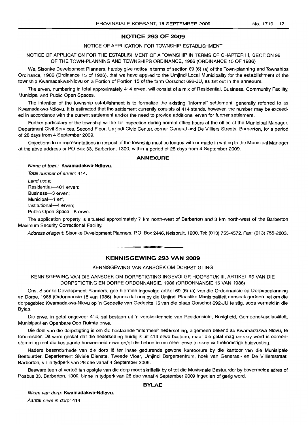#### **NOTICE 293 OF 2009**

#### NOTICE OF APPLICATION FOR TOWNSHIP ESTABLISHMENT

NOTICE OF APPLICATION FOR THE ESTABLISHMENT OF A TOWNSHIP IN TERMS OF CHAPTER III, SECTION 96 OF THE TOWN-PLANNING AND TOWNSHIPS ORDINANCE, 1986 (ORDINANCE 15 OF 1986)

We, Sisonke Development Planners, hereby give notice in terms of section 69 (6) (a) of the Town-planning and Townships Ordinance, 1986 (Ordinance 15 of 1986), that we have applied to the Umjindi Local Municipality for the establishment of the township Kwamadakwa-Nlovu on a Portion of Portion 15 of the farm Oorschot 692-JU, as set out in the annexure.

The erven, numbering in total approximately 414 erven, will consist of a mix of Residential, Business, Community Facility, Municipal and Public Open Spaces.

The intention of the township establishment is to formalize the existing "informal" settlement, generally referred to as Kwamadakwa-Ndlovu. It is estimated that the settlement currently consists of 414 stands, however, the number may be exceeded in accordance with the current settlement and/or the need to provide additional erven for further settlement.

Further particulars of the township will lie for inspection during normal office hours at the office of the Municipal Manager, Department Civil Services, Second Floor, Umjindi Civic Center, corner General and De Villiers Streets, Barberton, for a period of 28 days from 4 September 2009.

Objections to or representations in respect of the township must be lodged with or made in writing to the Municipal Manager at the abve address or PO Box 33, Barberton, 1300, within a period of 28 days from 4 September 2009.

#### **ANNEXURE**

Name of town: **Kwamadakwa-Ndlovu.**

Total number of erven: 414. Land uses: Residential-401 erven; Business-3 erven; Municipal---1 erf; Institutional-4 erven; Public Open Space-5 erwe.

The application property is situated approximately 7 km north-west of Barberton and 3 km north-west of the Barberton Maximum Security Correctional Facility.

Address of agent: Sisonke Development Planners, P.O. Box 2446, Nelspruit, 1200. Tel: (013) 755-4572. Fax: (013) 755-2803.

**• •**

#### **KENNISGEWING 293 VAN 2009**

#### KENNISGEWING VAN AANSOEK OM DORPSTIGTING

KENNISGEWING VAN DIE AANSOEK OM DORPSTIGTING INGEVOLGE HOOFSTUK III, ARTIKEL 96 VAN DIE DORPSTIGTING EN DORPE ORDONNANSIE, 1986 (ORDONNANSIE 15 VAN 1986)

Ons, Sisonke Development Planners, gee hiermee ingevolge artikel 69 (6) (a) van die Ordonnansie op Dorpsbeplanning en Dorpe, 1986 (Ordonnansie 15 van 1986), kennis dat ons by die Umjindi Plaaslike Munisipaliteit aansoek gedoen het om die dorpsgebied Kwamadakwa-Nlovu op 'n Gedeelte van Gedeelte 15 van die plaas Oorschot 692-JU te stig, soos vermeld in die Bylae.

Die erwe, in getal ongeveer 414, sal bestaan uit 'n verskeidenheid van Residensiele, Besigheid, Gemeenskapsfasiliteit, Munisipaal en Openbare Oop Ruimte erwe.

Die doel van die dorpstigting is om die bestaande "informele" nedersetting, algemeen bekend as Kwamadakwa-Nlovu, te formaliseer. Oit word geskat dat die nedersetting huidiglik uit 414 erwe bestaan, maar die getal mag oorskry word in ooreenstemming met die bestaande hoeveelheid erwe en/of die behoefte om meer erwe te skep vir toekomstige huisvesting.

Nadere besonderhede van die dorp Iê ter insae gedurende gewone kantoorure by die kantoor van die Munisipale Bestuurder, Departement Siviele Dienste, Tweede Vloer, Umjindi Burgersentrum, hoek van Generaal- en De Villiersstraat, Barberton, vir 'n tydperk van 28 dae vanaf 4 September 2009.

Besware teen of vertoë ten opsigte van die dorp moet skriftelik by of tot die Munisipale Bestuurder by bovermelde adres of Posbus 33, Barberton, 1300, binne 'n tydperk van 28 dae vanaf 4 September 2009 ingedien of gerig word.

#### **BYLAE**

Naam van dorp: **Kwamadakwa-Ndlovu.**

Aantal erwe in dorp: 414.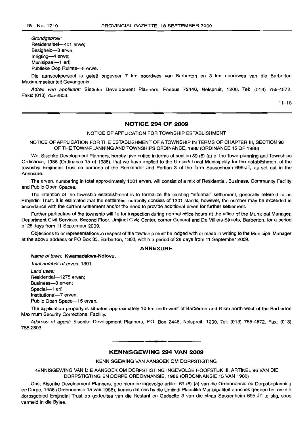Grondgebruik: Residensieel--401 erwe: Besigheid-3 erwe; Inrigting-4 erwe; Munisipaal-1 erf: Publieke Oop Ruimte-5 erwe.

Die aansoekperseel is geleë ongeveer 7 km noordwes van Barberton en 3 km noordwes van die Barberton Maximumsekuriteit Gevangenis.

Adres van applikant: Sisonke Development Planners, Posbus 72446, Nelspruit, 1200. Tel: (013) 755-4572. Faks: (013) 755-2803.

 $11 - 18$ 

### **NOTICE 294 OF 2009**

NOTICE OF APPLICATION FOR TOWNSHIP ESTABLISHMENT

NOTICE OF APPLICATION FOR THE ESTABLISHMENT OF A TOWNSHIP IN TERMS OF CHAPTER III, SECTION 96 OF THE TOWN-PLANNING AND TOWNSHIPS ORDINANCE, 1986 (ORDINANCE 15 OF 1986)

We, Sisonke Development Planners, hereby give notice in terms of section 69 (6) (a) of the Town-planning and Townships Ordinance, 1986 (Ordinance 15 of 1986), that we have applied to the Umjindi Local Municipality for the establishment of the township Emjindini Trust on portions of the Remainder and Portion 3 of the farm Sassenheim 695-JT, as set out in the Annexure.

The erven, numbering in total approximately 1301 erven, will consist of a mix of Residential, Business, Community Facility and Public Open Spaces.

The intention of the township establishment is to formalize the existing "informal" settlement, generally referred to as Emjindini Trust. It is estimated that the settlement currently consists of 1301 stands, however, the number may be exceeded in accordance with the current settlement and/or the need to provide additional erven for further settlement.

Further particulars of the township will lie for inspection during normal office hours at the office of the Municipal Manager, Department Civil Services, Second Floor, Umjindi Civic Center, corner General and De Villiers Streets, Barberton, for a period of 28 days from 11 September 2009.

Objections to or representations in respect of the township must be lodged with or made in writing to the Municipal Manager at the above address or PO Box 33, Barberton, 1300, within a period of 28 days from 11 September 2009.

#### **ANNEXURE**

Name of town: **Kwamadakwa-Ndlovu.**

Total number of erven: 1301.

Land uses: Residential-1275 erven; Business-3 erven; Special-1 erf; Institutional-7 erven; Public Open Space-15 erven.

The application property is situated approximately 10 km north-west of Barberton and 6 km north-west of the Barberton Maximum Security Correctional Facility.

Address of agent: Sisonke Development Planners, P.O. Box 2446, Nelspruit, 1200. Tel: (013) 755-4572. Fax: (013) 755-2803.

#### **KENNISGEWING 294 VAN 2009**

<sup>E</sup> **••**

KENN/SGEWING VAN AANSOEK OM DORPSTIGTING

KENNISGEWING VAN DIE AANSOEK OM DORPSTIGTING INGEVOLGE HOOFSTUK III, ARTIKEL 96 VAN DIE DORPSTIGTING EN DORPE ORDONNANSIE, 1986 (ORDONNANSIE 15 VAN 1986)

Ons, Sisonke Development Planners, gee hiermee ingevolge artikel 69 (6) (a) van die Ordonnansie op Dorpsbeplanning en Darpe, 1986 (Ordonnansie 15 van 1986), kennis dat ons by die Umjindi Plaaslike Munisipaliteit aansoek gedoen het om die dorpsgebied Emjindini Trust op gedeeltes van die Restant en Gedeelte 3 van die plaas Sassenheim 695-JT te stig, soos vermeld in die Bylae.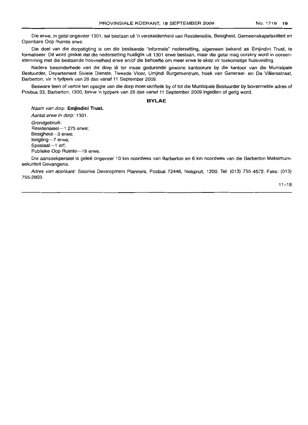Die erwe, in getal ongeveer 1301, sal bestaan uit 'n verskeidenheid van Hesidensiele, Besigheid, Gemeenskapsfasiliteit en Openbare Oop Ruimte erwe.

Die doel van die dorpstigting is om die bestaande "informele" nedersetting, algemeen bekend as Emjindini Trust, te formaliseer. Dit word geskat dat die nedersetting huidiglik uit 1301 erwe bestaan, maar die getal mag oorskry word in ooreenstemming met die bestaande hoeveelheid erwe en/of die behoefte om meer erwe te skep vir toekomstige huisvesting.

Nadere besonderhede van die dorp lê ter insae gedurende gewone kantoorure by die kantoor van die Munisipale Bestuurder, Departement Siviele Dienste, Tweede Vloer, Umjindi Burgersentrum, hoek van Generaal- en De Villiersstraat, Barberton, vir 'n tydperk van 28 dae vanaf 11 September 2009.

Besware teen of vertoë ten opsigte van die dorp moet skriftelik by of tot die Munisipale Bestuurder by bovermelde adres of Posbus 33, Barberton, 1300, binne 'n tydperk van 28 dae vanaf 11 September 2009 ingedien of gerig word.

#### **BYLAE**

Naam van dorp: **Emjindini** Trust.

Aantal erwe in dorp: 1301. Grondgebruik:

Residensieel-1 275 erwe; Besigheid-3 erwe; Inrigting-7 erwe; Spesiaal-1 erf; Publieke Oop Ruimte-15 erwe.

Die aansoekperseel is gelee ongeveer 10 km noordwes van Barberton en 6 km noordwes van die Barberton Maksimumsekuriteit Gevangenis.

Adres van appiikant: Sisonke Development Planners, Posbus 72446, Nelspruit, 1200. Tel: (013) 755-4572. Faks: (013) 755-2803.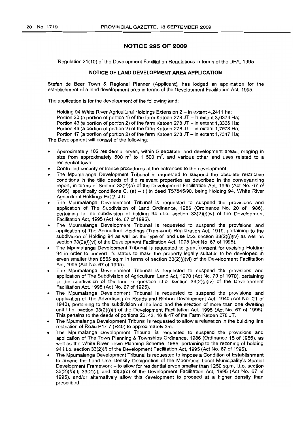#### **N01"ICE 295 OF 2009**

[Regulation 21(10) of the Development Facilitation Regulations in terms of the DFA, 1995]

#### **NOTICE OF LAND DEVELOPMENT AREA APPLICATION**

Stefan de Beer Town & Regional Planner (Applicant), has lodged an application for the establishment of a land development area in terms of the Development Facilitation Act, 1995.

The application is for the development of the following land:

Holding 94 White River Agricultural Holdings Extension 2 - in extent 4,2411 ha; Portion 20 (a portion of portion 1) of the farm Katoen 278 JT  $-$  in extent 3,6374 Ha; Portion 43 (a portion of portion 2) of the farm Katoen 278 JT  $-$  in extent 1,3336 Ha; Portion 46 (a portion of portion 2) of the farm Katoen 278  $JT - in$  extent 1,7573 Ha; Portion 47 (a portion of portion 2) of the farm Katoen 278 JT - in extent 1,7347 Ha; The Development will consist of the following:

- Approximately 102 residential erven, within 5 separate land development areas, ranging in size from approximately 500  $m^2$  to 1 500  $m^2$ , and various other land uses related to a residential town;
- Controlled security entrance procedures at the entrances to the development;
- The Mpumalanga Development Tribunal is requested to suspend the obsolete restrictive conditions in the title deeds of the relevant properties as described in the conveyancing report, in terms of Section 33(2)(d) of the Development Facilitation Act, 1995 (Act No. 67 of 1995), specifically conditions C. (a) - (i) in deed T57845/90, being Holding 94, White River Agricultural Holdings Ext 2, J.U.
- The Mpumalanga Development Tribunal is requested to suspend the provisions and application of The. Subdivision of Land Ordinance, 1986 (Ordinance No. 20 of 1986), pertaining to the subdivision of holding 94 i.t.o. section  $33(2)(j)(iv)$  of the Development Facilitation Act, 1995 (Act No. 67 of 1995).
- The Mpumalanga Development Tribunal is requested to suspend the provisions and application of The Agricultural Holdings (Transvaal) Registration Act, 1919, pertaining to the subdivision of Holding 94 as well as the type of land use i.t.o. section  $33(2)(j)(iv)$  as well as section 33(2)(*j*)(vi) of the Development Facilitation Act, 1995 (Act No. 67 of 1995).
- The Mpumalanga Development Tribunal is requested to grant consent for excising Holding 94 in order to convert it's status to make the property legally suitable to be developed in erven smaller than 8565 sq.m in terms of section  $33(2)(j)(vi)$  of the Development Facilitation Act, 1995 (Act No. 67 of 1995).
- The Mpumalanga Development Tribunal is requested to suspend the provisions and application of The Subdivision of Agricultural Land Act, 1970 (Act No. 70 of 1970), pertaining to the subdivision of the land in question i.t.o. section  $33(2)(j)(iv)$  of the Development Facilitation Act, 1995 (Act No. 67 of 1995).
- The Mpumalanga Development Tribunal is requested to suspend the provisions and application of The Advertising on Roads and Ribbon Development Act, 1940 (Act No. 21 of 1940), pertaining to the subdivision of the land and the erection of more than one dwelling unit i.t.o. section  $33(2)(i)$ (i) of the Development Facilitation Act, 1995 (Act No. 67 of 1995). This pertains to the deeds of portions 20, 43, 46 & 47 of the Farm Katoen 278 JT.
- The Mpumalanga Development Tribunal is requested to allow a relaxation in the building line restriction of Road P17-7 (R40) to approximately 3m.
- The Mpumalanga Development Tribunal is requested to suspend the provisions and application of The Town Planning & Townships Ordinance, 1986 (Ordinance 15 of 1986), as well as the White River Town Planning Scheme, 1985, pertaining to the rezoning of holding 94 i.t.o. section  $33(2)(i)$  of the Development Facilitation Act, 1995 (Act No. 67 of 1995).
- The Mpumalanga Development Tribunal is requested to impose a Condition of Establishment to amend the Land Use Density Designation of the Mbombela Local Municipality's Spatial Development Framework - to allow for residential erven smaller than 1250 sq.m, i.t.o. section  $33(2)(h)(i)$ ;  $33(2)(i)$ ; and  $33(3)(c)$  of the Development Facilitation Act, 1995 (Act No. 67 of 1995), and/or alternatively allow this development to proceed at a higher density than prescribed.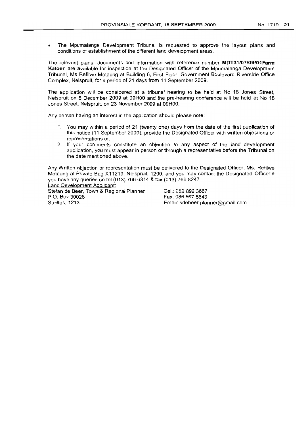• The Mpumalanga Development Tribunal is requested to approve the layout plans and conditions of establishment of the different land development areas.

The relevant plans, documents and information with reference number **MDT31/07/09/01Farm Katoen** are available for inspection at the Designated Officer of the Mpumalanga Development Tribunal, Ms Refilwe Motaung at Building 6, First Floor, Government Boulevard Riverside Office Complex, Nelspruit, for a period of 21 days from 11 September 2009.

The application will be considered at a tribunal hearing to be held at No 18 Jones Street, Nelspruit on 8 December 2009 at 09HOO and the pre-hearing conference will be held at No 18 Jones Street, Nelspruit, on 23 November 2009 at 09HOO.

Any person having an interest in the application should please note:

- 1. You may within a period of 21 (twenty one) days from the date of the first publication of this notice (11 September 2009), provide the Designated Officer with written objections or representations or,
- 2. If your comments constitute an objection to any aspect of the land development application, you must appear in person or through a representative before the Tribunal on the date mentioned above.

Any Written objection or representation must be delivered to the Designated Officer, Ms. Refilwe Motaung at Private Bag X11219, Nelspruit, 1200, and you may contact the Designated Officer if you have any queries on tel (013) 766-6314 & fax (013) 766 8247

Land Development Applicant: Stefan de Beer, Town & Regional Planner P.O. Box 30028 Steiltes, 1213

Cell: 082 892 3667 Fax: 086 567 5643 Email: sdebeer.planner@gmail.com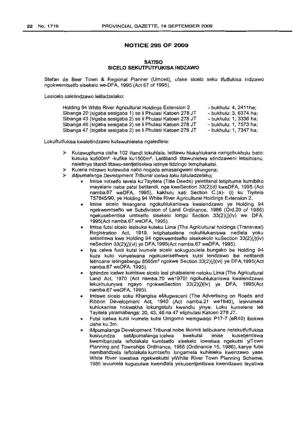#### **NOTICE 295 OF 2009**

#### **SATISO SICELO SEKUTFUTFUKISA INDZAWO**

Stefan de Beer Town & Regional Planner (Umceli), ufake sicelo seku tfutfukisa indzawo ngokwemtsetfo sisekelo we-DFA, 1995 (Act 67 of 1995).

Lesicelo saletindzawo letiladzelako:

| Holding 94 White River Agricultural Holdings Extension 2   | - bukhulu: 4, 2411ha:  |
|------------------------------------------------------------|------------------------|
| Sibanga 20 (sigaba sesigaba 1) se li Phulasi Katoen 278 JT | - bukhulu: 3, 6374 ha: |
| Sibanga 43 (sigaba sesigaba 2) se li Phulasi Katoen 278 JT | - bukhulu: 1, 3336 ha: |
| Sibanga 46 (sigaba sesigaba 2) se li Phulasi Katoen 278 JT | - bukhulu: 1, 7573 ha: |
| Sibanga 47 (sigaba sesigaba 2) se li Phulasi Katoen 278 JT | - bukhulu: 1, 7347 ha; |

Lokuftutfukisa kwaletindzawo kutawuhleleka ngaledlela:

- $\triangleright$  Kutawuphuma cishe 102 titandi tokuhlala, letitawu hlukahlukana nangobukhulu bato: kusuka ku500m<sup>2</sup> -kufike ku1500m<sup>2</sup> • Letititandi titawuhlelwa etindzaweni letisihlanu, naletinye titandi titawu-sentjetiselwa letinye tidzingo temphakatsi.
- Kulena ndzawo kutawuba nabo nogada emasangweni ekungena;
- iMpumalanga Development Tribunal ice/wa loku lokuladze/ako;
	- Imise mitsetfo levela ku'Tayitela (Title Deeds) yaletitandi letiphume kumibiko mayelane neba patsi betitandi, nge kweSection 33(2)(d) kweDFA, 1995 (Act namba.67 weDFA, 1995), kakhulu kati Section C.(a)- (i) ku Tiyitela T57845/90, ye Holding 94 White River Agricultural Holdings Extension 2.
	- Imise sicelo lesangena ngokuhlukaniswa kwalendzawo ye Holding 94 ngekwemtsefto we Subdivision of Land Ordinance, 1986 (Ord.20 of 1986) ngekusebentisa umtsetfo sisekelo longu Section 33(2)(j)(iv) we DFA, 1995(Act namba.67 weDFA, 1995).
	- (mise futsi sicelo lesisuka kuteku Lima {The Agricultural holdings (Transvaal) Registration Act, 1919, letiphatselene nokuhlukaniswa nedlela yoku setsetiswa kwe Holding 94 ngekwemtsefto sisekekolo kuSection 33(2)(j)(iv) neSection  $33(2)(j)(vi)$  ye DFA,1995(Act namba.67 weDFA, 1995).
	- Iya celwa fusti kutsi ivumele sicelo sokuguculela bungako be Holding 94 kuze kuto vunyelwana ngokusetsetfweni kutsi lendzawo ibe netitandi letincane letingabangu 8565m<sup>2</sup> ngokwe Section  $33(2)(j)(vi)$  ye DFA, 1995(Act namba.67 weDFA, 1995).
	- Iphindze icelwe kumiswe sicelo lesi phatselene netoku Lima (The Agricultural Land Act, 1970 (Act namba.70 we1970) ngokuhlukaniswa kwalendzawo lekukhulunywa ngayo ngokweSection 33(2)(j)(iv) ye DFA, 1995(Act namba.67 weDFA, 1995).
	- Imiswe sicelo soku Khangisa eMugwaceni (The Advertising on Roads and Ribbon Development Act, 1940 (Act namba.21 we1940), lesivumela kuhlukanisa nokwakha lokungetulu kwendlu yinye. Loku kumelene leli Tayitela yalamabanga: 20, 43, 46 na 47 eliphulasi Katoen 278 JT.
	- Futsi icelwa kutsi ivumele kutsi Umgomo wemgwaqo P17-7 (eR40) ibekwe cishe ku 3m.
	- iMpumalanga Development Tribunal nobe likomiti lelibukene netekutfutfukisa kusivundza seMpumalanga icelwa kwekutsi imise kusetjentiswa kwemibanzela leftolakala kumtsetfo sisekelo lowatiwa ngekutsi yiTown Planning and Townships Ordinance, 1986 (Ordinance 15, 1986), kanye futsi nemibandzela leftolakala kumtsefto longamela kuhleleka kwenzawo yase White River lowatiwa ngekwekutsi yiWhite River Town Planning Scheme, 1985 levumela kuguculwa kwendlela yekusentjentiswa kwendzawo leyatiwa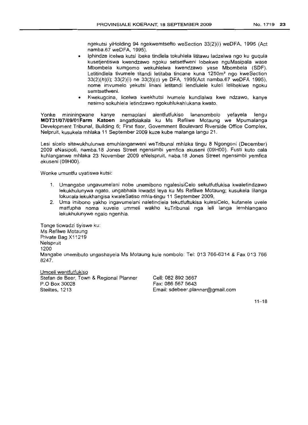ngekutsi yiHolding 94 ngekwemtsefto weSection 33(2)(i) weDFA, 1995 (Act namba.67 weDFA, 1995).

- Iphindze icelwa kutsi ibeke tindlela tokuhlela lititawu ladzelwa ngo ku guqula kusetjentiswa kwendzawo ngoku setsetfweni lobekwe nguMasipala wase Mbombela kumgomo wekuhlelwa kwendzawo yase Mbombela (SDF). Letitindlela tivumele titandi letitaba tincane kuna 1250m<sup>2</sup> ngo kweSection 33(2)(h)(i); 33(2)(i) ne 33(3)(c) ye DFA, 1995(Act namba.67 weDFA 1995), nome imvumelo yekutsi linani letitandi lendlulele kuleli lelibekiwe ngoku semtsetfweni.
- Kwekugcina, licelwa kwekhutsi ivumele kundlalwa kwe ndzawo, kanye nesimo sokuhlela letindzawo ngokuhlukahlukana kwato.

Yonke mininingwane kanye nemaplani alentfutfukiso lanenombolo yefayela lengu **MDT31/07/09/01 Farm Katoen** angatfolakala ku Ms Refilwe Motaung we Mpumalanga Development Tribunal, Building 6; First floor, Government Boulevard Riverside Office Complex, Nelpruit, kusukela mhlaka 11 September 2009 kuze kube malanga langu 21.

Lesi sicelo sitawukhulunwa emuhlanganweni weTribunal mhlaka tingu 8 Ngongoni (December) 2009 eNasipoti, namba.18 Jones Street ngensimbi yemfica ekuseni (09HOO). Fusti kuto cala kuhlanganwe mhlaka 23 November 2009 eNelspruit, naba.18 Jones Street ngensimbi yemfica ekuseni (09HOO).

Wonke umuntfu uyatiswa kutsi:

- 1. Umangabe ungavumelani nobe unemibono ngalesisiCelo sekutfutfukisa kwaletindzawo lekukhulunywa ngato, unqabhala icwadzi leya ku Ms Refilwe Motaung; kusukela Iilanga lokucala lekukhangisa kwaleSatiso mhla-tingu 11 September 2009,
- 2. Uma imibono yakho ingavumelani naletindlela tekutfuftukisa kulesiCelo, kufanele uvele matfupha noma kuvele ummeli wakho kuTribunal nga leli langa lemhlangano lekukhulunywe ngalo ngenhla.

Tonge ticwadzi tiyiswe ku: Ms Refilwe Motaung Private Bag X11219 Nelspruit 1200 Mangabe unemibuto ungashayela Ms Motaung kule nombolo: Tel: 013766-6314 & Fax 013766 8247.

Umceli wentfutfukiso Stefan de Beer, Town & Regional Planner P.O Box 30028 Steiltes, 1213

Cell: 082 892 3667 Fax: 086 567 5643 Email: sdebeer.planner@gmail.com

 $11 - 18$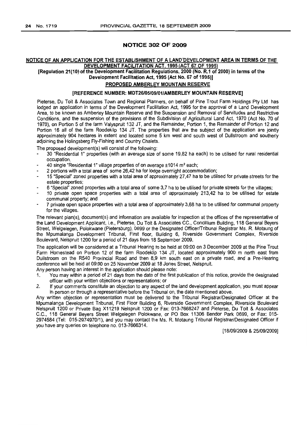#### NOTICE 302 OF 2009

#### NOTICE OF AN APPLICATION FOR THE ESTABLISHMENT OF A LAND'DEVELOPMENT AREA IN TERMS OF THE DEVELOPMENT FACILITATION ACT, 1995 (ACT 67 OF 1995)

[Regulation 21(10) ofthe Development Facilitation Regulations, 2000 (No. R.1 of 2000) in terms of the Development Facilitation Act, 1995 (Act No. 67 of 1995)]

### PROPOSED AMBERLEY MOUNTAIN RESERVE

#### [REFERENCE NUMBER: MDT26105/09/01/AMBERLEY MOUNTAIN RESERVE]

Pieterse, Du Toit & Associates Town and Regional Planners, on behalf of Pine Trout Farm Holdings Pty Ltd has lodged an application in terms of the Development Facilitation Act, 1995 for the approval of a Land Development Area, to be known as Amberley Mountain Reserve and the Suspension and Removal of Servitudes and Restrictive Conditions, and the suspension of the provisions of the Subdivision of Agricultural Land Act, 1970 (Act No. 70 of 1970), on Portion 5 of the farm Valyspruit 132 JT, and the Remainder, Portion 1, the Remainder of Portion 12 and Portion 16 all of the farm Roodeklip 134 JT. The properties that are the subject of the application are jointly approximately 904 hectares in extent and located some 5 km west and south west of Dullstroom and southerly adjoining the Holingsberg Fly-Fishing and Country Chalets.

The proposed development(s) will consist of the following:

- 30 "Residential 1" properties (with an average size of some 19,82 ha each) to be utilised for rural residential occupation.
- 40 single "Residential 1" village properties of on average ±1014 m<sup>2</sup> each;
- 2 portions with a total area of some 26,42 ha for lodge overnight accommodation;
- 15 "Special" zoned properties with a total area of approximately 27,47 ha to be utilised for private streets for the estate properties;
- 6 "Special" zoned properties with a total area of some 3,7 ha to be utilised for private streets for the villages;
- 10 private open space properties with a total area of approximately 213,42 ha to be utilised for estate communal property; and
- 7 private open space properties with a total area of approximately 3,68 ha to be utilised for communal property for the Villages.

The relevant plan(s), document(s) and information are available for inspection at the offices of the representative of the Land Development Applicant, Le., Pieterse, Du Toit & Associates CC., Concillium Building, 118 General Beyers Street, Welgelegen, Polokwane (Pietersburg), 0699 or the Designated Officer/Tribunal Registrar Ms. R. Motaung of the Mpumalanga Development Tribunal, First floor, Building 6, Riverside Government Complex, Riverside Boulevard, Nelspruit 1200 for a period of 21 days from 18 September 2009.

The application will be considered at a Tribunal Hearing to be held at 09:00 on 3 December 2009 at the Pine Trout Farm Homestead on Portion 12 of the farm Roodeklip 134 JT, located approximately 900 m north east from Dullstroom on the R540 Provincial Road and then 8,9 km south east on a private road, and a Pre-Hearing conference will be held at 09:00 on 25 November 2009 at 18 Jones Street, Nelspruit.

- Any person having an interest in the application should please note:
- 1. You may within a period of 21 days from the date of the first publication of this notice, provide the designated officer with your written objections or representations; or
- 2. If your comments constitute an objection to any aspect of the land development application, you must appear in person or through a representative before the Tribunal on, the date mentioned above.

Any written objection or representation must be delivered to the Tribunal Registrar/Designated Officer at the Mpumalanga Development Tribunal, First Floor Building 6, Riverside Government Complex, Riverside Boulevard Nelspruit 1200 or Private Bag X11219 Nelspruit 1200 or Fax: 013-7668247 and Pieterse, Du Toit & Associates C.C., 118 General Beyers Street Welgelegen Polokwane, or PO Box 11306 Bendor Park 0699, or Fax: 015- 2974584 (Tel: 015-2974970/1), and you may contact the Ms. R. Motaung Tribunal Registrar/Designated Officer if you have any queries on telephone no. 013-7666314.

[18/09/2009 & 25/09/2009]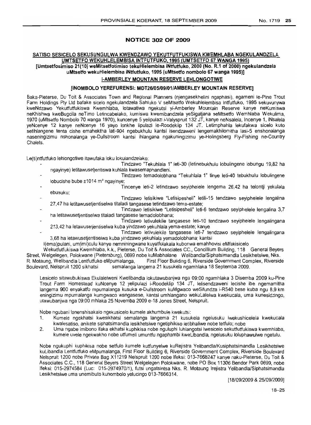#### **NOTICE 302 OF 2009**

### **SATISO SESICELO SEKUSUNGULWA KWENDZAWO YEKUTFUTFUKISWA KWEMHLABA NGEKULANDZELA UMTSETFO WEKUHLELEMBISA INTFUTFUKO, 1995(UMTSETFO 67WANGA 1995)**

**[Umtsetfosimiso 21(10) weMitsetfotimiso tekuHlelembisa iNtfutfuko, 2000(No. R.1 of 2000)ngekulandzela uMtsetfo wekuHielembisa iNtfutfuko, 1995(uMtsetfo** nombolo **67 wanga1995)]**

### **I-AMBERLEY MOUNTAIN RESERVE LEHLONGOTIWE**

#### **[INOMBOLO YEREFURENSI: MDT26105/09/01/AMBERLEY MOUNTAIN RESERVE]**

Baka-Pieterse, Du Toit & Associates Town and Regional Planners (njengasekhelini ngaphasi), egameni Ie-Pine Trout Farm Holdings Pty Ltd bafake sicelo ngekulandzela Sahluko V seMtsetfo Wekuhlelembisa Intfutfuko, 1995 sekuvunywa kweNdzawo Yekutfutfukiswa Kwemhlaba, lotawatiwa ngekutsi yi-Amberley Mountain Reserve kanye neKumiswa neKhishwa kweBugcila neTimo Letincabelako, kumiswa kwemibandzela yeSigatjana seMtsetfo Wemhlaba Wekulima, 1970 (uMtsetfo Nombolo 70 wanga 1970), kuncenye 5 yelipulazi i-Valyspruit 132 JT, kanye neNsalela, Incenye 1, iNsalela yeNcenye 12 kanye neNcenye 16 yayo lonkhe lipulazi le-Roodeklip 12:4 JT. Letimphahla lekufakwa sicelo kuto setihlangene tenta cishe emahektha lati-904 ngebukhulu kantsi isendzaweni lengemakhilomitha lasi-f enshonalanga naseningizimu nshonalanga ye-Dullstroom kantsi ihlangana ngakuningizimu ye-Holingsberg Fly-Fishing ne-Country Chalets.

Le(ti)ntfutfuko lehlongotiwe itawufaka loku lokulandzelako:

- Tindzawo "Tekuhlala 1" leti-30 (Ietinebukhulu lobulingene lobungu 19,82 ha ngayinye) letitawusetjentiswa kuhlala kwasemaphandleni.
- Tindzawo temadolobhana "Tekuhlala 1" tinye leti-40 tebukhulu lobulingene lobucishe bube  $\pm 1014$  m<sup>2</sup> ngayinye;
- Tincenye leti-2 letindzawo seyiphelele lengema 26,42 ha telontji yekulala ebusuku;
- Tindzawo letisikiwe "Letisipesheli" letili-15 tendzawo seyiphelele lengalina 27,47 ha letitawusetjentiselwa titaladi tangasese tetindzawo tema-estate;
- Tindzawo letisikiwe "Letisipesheli" leti-6 tendzawo seyiphelele lengalina 3,7 ha letitawusetjentiselwa titaladi tangasese temadolobhana;
- Tindzawo letivulekile tangasese leti-10 tendzawo seyiphelele lengalingana 213,42 ha letawusetjentiselwa kuba yindzawo yekuhlala vema-estate; kanye
- Tindzawo letivulekile tangasese leti-7 tendzawo seyiphelele lengalingana 3,68 ha letawusetjentiselwa kuba yindzawo yekuhlala yemadolobhana; kantsi

I(ema)pulani, um(imi)culu kanye nernniningwane kuyatfolakala kubonwa emahhovisi eMfakisicelo

Wekutfutfukiswa Kwemhlaba, k.k., Pieterse, Du Toit & Associates CC., Concillium Building, 118 General Beyers Street, Welgelegen, Polokwane (Pietersburp), 0699 nobe kuMabhalane Welibandla/Siphatsimandla Lesikhetsiwe, Nks. R. Motaung, Welibandla Lentfutfuko eMpumalanga, First Floor Building 6, Riverside Government Complex, Riverside<br>Boulevard, Nelspruit 1200 sikhatsi semalanga langema 21 kusukela ngamhlaka 18 Septemba 2009. semalanga langema 21 kusukela ngamhlaka 18 Septemba 2009.

Lesicelo sitawubukiswa Ekulalelweni Kwelibandla lokutawubanjwa nga 09:00 ngamhlaka 3 Disemba 2009 ku-Pine Trout Farm Homestead kuNcenye 12 yelipulazi i-Roodeklip 134 .JT, lelisendzaweni lecishe ibe ngemamitha langema 900 enyakatfo mpumalanga kusuka e-Dullstroom kuMgwaco weSifundza I-R540 bese kuba ngu 8,9 km eningizimu mpumalanga kumgwaco wangasese, kantsi umhlangano wekuLalelwa kwekucala, uma kunesidzingo, utawubanjwa nga 09:00 mhlaka 25 Novernba 2009 e-18 Jones Street, Nelspruit.

Nobe ngubani lonenshisakalo ngekusicelo kumele akhumbule kwekutsi:

- 1. Kumele ngekhatsi kwesikhatsi semalanga langema 21 kusukela ngelusuku Iwekushicelela kwekucala kwalesatiso, anikete siphatsimandla lesikhetsiwe ngetiphikiso letibhaliwe nobe tetfulo; nobe
- 2. Uma ngabe imibono ifaka ekhatsi kuphikisa nobe nguluphi luhlangotsi Iwesice/o sekutfutfukiswa kwemhlaba, kumele uvele ngekwakho nobe utfumeli umuntfu ngaphambi kweLibandla, ngelusuku loluphawulwe ngetu/u.

Nobe ngukuphi kuphikisa nobe setfulo kumele kutfunyelwe kuRejistra Yelibandla/Kusiphatsimandla Lesikhetsiwe kuLibandla Lentfutfuko eMpumalanga, First Floor Building 6, Riverside Government Complex, Riverside Boulevard Nelspruit 1200 nobe Private Bag X11219 Nelspruit 1200 nobe Ifeksi: 013-7668247 kanye naku-Pieterse, Du Toit & Associates C.C., 118 General Beyers Street Welgelegen Polokwane, nobe PO Box 11306 Bendor Park 0699, nobe Ifeksi: 015-2974584 (Luc: 015-2974970/1), futsi ungatsintsa Nks. R. Motaung Irejistra YelibandlalSiphatsimandla Lesikhetsiwe uma unemibuto kunombolo yelucingo 013-7666314.

[18/09/2009 & 2510912009]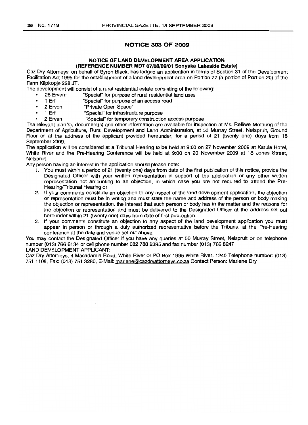### **NOTICE 303 OF 2009**

#### **NOTICE OF LAND DEVELOPMENT AREA APPLICATION (REFERENCE NUMBER MDT** 07/08/09/01 **Sonyaka Lakeside Estate)**

Caz Dry Attorneys, on behalf of Byron Black, has lodged an application in terms of Section 31 of the Development Facilitation Act 1995 for the establishment of a land development area on Portion 77 (a portion of Portion 20) of the Farm Klipkopje 228 JT.

The development will consist of a rural residential estate consisting of the following:

- 28 Erven: "Special" for purpose of rural residential land uses
- 1 Erf "Special" for purpose of an access road
- 2 Erven "Private Open Space"
- 1 Erf "Special" for infrastructure purpose
	- 2 Erven "Special" for temporary construction access purpose

The relevant plan(s), document(s) and other information are available for inspection at Ms. Refilwe Motaung of the Department of Agriculture, Rural Development and Land Administration, at 50 Murray Street, Nelspruit, Ground Floor or at the address of the applicant provided hereunder, for a period of 21 (twenty one) days from 18 September 2009.

The application will be considered at a Tribunal Hearing to be held at 9:00 on 27 November 2009 at Karula Hotel, White River and the Pre-Hearing Conference will be held at 9:00 on 20 November 2009 at 18 Jones Street, Nelspruit.

Any person having an interest in the application should please note:

- 1. You must within a period of 21 (twenty one) days from date of the first publication of this notice, provide the Designated Officer with your written representation in support of the application or any other written representation not amounting to an objection, in which case you are not required to attend the Pre-Hearing/Tribunal Hearing or
- 2. If your comments constitute an objection to any aspect of the land development application, the objection or representation must be in writing and must state the name and address of the person or body making the objection or representation, the interest that such person or body has in the matter and the reasons for the objection or representation and must be delivered to the Designated Officer at the address set out hereunder within 21 (twenty one) days from date of first publication.
- 3. If your comments constitute an objection to any aspect of the land development application you must appear in person or through a duly authorized representative before the Tribunal at the Pre-Hearing conference at the date and venue set out above.

You may contact the Designated Officer if you have any queries at 50 Murray Street, Nelspruit or on telephone number (013) 766 6134 or cell phone number 082 788 2395 and fax number (013) 7668247

### LAND DEVELOPMENT APPLICANT:

Caz Dry Attorneys, 4 Macadamia Road, White River or PO Box 1995 White River, 1240 Telephone number: (013) 751 1108, Fax: (013) 751 3280, E-Mail: marlene@cazdryattorneys.co.za Contact Person: Marlene Dry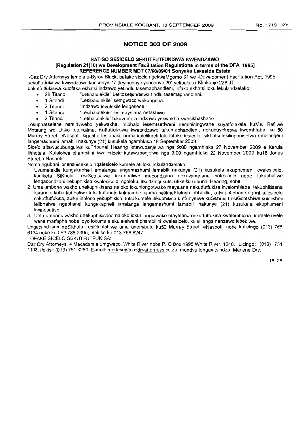### **NOTICE 303 OF 2009**

#### **SATISO SESICELO SEKUTFUTFUKISWA KWENDZAWO [Regulation 21(10) we Development Facilitation Regulations in terms of the DFA, 1995] REFERENCE NUMBER MDT 07/08/09/01 Sonyaka Lakeside Estate**

i-Caz Dry Attorneys lemela u-Byron Black, bafake sicelo ngekweMgomo 31 we -Development Facilitation Act, 1995 sekutfutfukiswa kwendzawo kuncenye 77 (Ieyincenye yencenye 20) yelipulazi i-Klipkopje 228 JT.

- Lokutfutfukiswa kutofaka ekhatsi indzawo yetindlu tasemaphandleni, lefaka ekhatsi loku lekulandzelako:
	- 28 Titandi "Letibalulekile" Letitosetjendiswa tindlu tasemaphandleni.
	- 1 Sitandi "Lesibalulekile" semgwaco wekungena.
	- 2 Titandi "lndzawo levulekile lengasese."
	- 1 Sitandi "lesibalulekile" lesimayelana netakhiwo.
	- 2 Titandi "letibalulekile" tekuvumela indzawo yekwakha kwesikhashane.

Lokuphatselene nemidvwebo yekwakha, mibhalo lesemtsetfweni nernininingwane kuyatfolakala kuMs. Refilwe Motaung we Litiko letekulima, Kutfutfukiswa kwetindzawo takemaphandleni, nekubuyeketwa kwemhlaba, ku 50 Murray Street, eNaspoti, sigabha lesiphasi, noma kulelikheli lalo lofake lesicelo. sikhatsi lesilinganiselwa emalangeni langemashumi lamabili nakunye (21) kusukela ngamhlaka 18 September 2009.

Sicelo sitawucubungulwa kuTribunal Hearing letawubanjelwa nga 9:00 ngamhlaka 27 November 2009 e Karula lihhotela, Kulalelwa phambilini kwalesicelo kutawubanjelwa nga 9:00 ngamhlaka 20 November 2009 ku18 Jones Street, eNaspoti.

Noma ngubani lonenshisekelo ngalesicelo kumele ati loku lokulandzelako:

- 1. Uvumelekile kungakapheli emalanga langemashumi lamabili nakunye (21) kusukela ekuphumeni kwalesicelo, kuniketa SiKhulu LesiGcotshiwe lokubhaliwe macondzana nekuvumelana nalesicelo nobe lokubhaliwe lengacondzani nekuphikisa kwalesicelo, ngaloku, akudzingi kutsi ufike kuTribunal Hearing, nobe
- 2. Uma umbono wakho unekuphikisana naloko lokuhlongotwako maye/ana nekutfutfukisa kwalomhlaba, lekuphikisana kufanele kube kubhaliwe futsi kufanele kukhombe ligama nelikheli laloyo lobhalilie, kutsi uhl;obane ngani kulesicelo sekutfutfukisa, abike inhloso yekuphikisa, futsi kumele lekuphikisa kutfunyelwe kuSikhulu LesiGcotshiwe kulelikheli lelibhalwe ngaphansi kungakapheli emalanga langamashumi lamabili nakunye (21) kusukela ekuphumeni kwalesatiso.
- 3. Uma umbono wakho unekuphikisana naloko lokuhlongotwako mayelana nekutfutfukisa kwalomhlaba, kumele uvele wena matfupha nobe loyo lokumele ekulalelweni phambilini kwalesicelo, kulelilanga nenzawo lebekiwe.

Ungatsindzana neSikhulu LesiGcotshiwe uma unemibuto ku50 Murray Street, eNaspoti, nobe kulicingo (013) 766 6134 nobe ku 082 788 2395, ufekise ku 013 7668247.

lOFAKE SICElO SEKUTFUTFUKISA:

Caz Dry Attorneys, 4 Macadamia umgwaco, White River nobe P. 0 Box 1995 White River, 1240. Licingo: (013) 751 1108, ifekisi: (013) 751 3280, E-mail: marlene@cazdryattorneys.co.za, mundvu longamtsindza: Marlene Dry.

18-25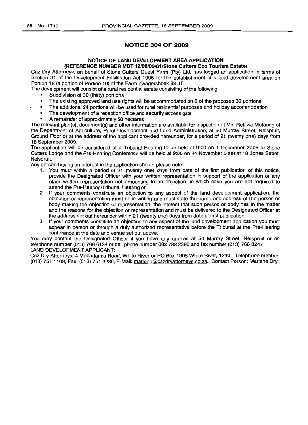### NOTICE 304 OF 2009

#### NOTICE OF LAND DEVELOPMENT AREA APPLICATION (REFERENCE NUMBER MDT 12/08/09/01/Stone Cutters Eco Tourism Estate)

Caz Dry Attorneys, on behalf of Stone Cutters Guest Farm (Pty) Ltd, has lodged an application in terms of Section 31 of the Development Facilitation Act 1995 for the establishment of a land development area on Portion 18 (a portion of Portion 10) of the Farm Zwagershoek 82 JT.

The development will consist of a rural residential estate consisting of the following:

- Subdivision of 30 (thirty) portions
- The existing approved land use rights will be accommodated on 6 of the proposed 30 portions
- The additional 24 portions will be used for rural residential purposes and holiday accommodation
- The development of a reception office and security access gate
- A remainder of approximately 58 hectares

The relevant plan(s), document(s) and other information are available for inspection at Ms. Refilwe Motaung of the Department of Agriculture, Rural Development and Land Administration, at 50 Murray Street, Nelspruit, Ground Floor or at the address of the applicant provided hereunder, for a period of 21 (twenty one) days from 18 September 2009.

The application will be considered at a Tribunal Hearing to be held at 9:00 on 1 December 2009 at Stone Cutters Lodge and the Pre-Hearing Conference will be held at 9:00 on 24 November 2009 at 18 Jones Street, Nelspruit.

Any person having an interest in the application should please note:

- 1. You must within a period of 21 (twenty one) days from date of the first publication of this notice, provide the Designated Officer with your written representation in support of the application or any other written representation not amounting to an objection, in which case you are not required to attend the Pre-Hearing/Tribunal Hearing or
- 2. If your comments constitute an objection to any aspect of the land development application, the objection or representation must be in writing and must state the name and address of the person or body making the objection or representation, the interest that such person or body has in the matter and the reasons for the objection or representation and must be delivered to the Designated Officer at the address set out hereunder within 21 (twenty one) days from date of first publication.
- 3. If your comments constitute an objection to any aspect of the land development application you must appear in person or through a duly authorized representative before the Tribunal at the Pre-Hearing conference at the date and venue set out above.

You may contact the Designated Officer if you have any queries at 50 Murray Street, Nelspruit or on telephone number (013) 766 6134 or cell phone number 082 788 2395 and fax number (013) 766 8247 LAND DEVELOPMENT APPLICANT:

Caz Dry Attorneys, 4 Macadamia Road, White River or PO Box 1995 White River, 1240. Telephone number: (013) 751 1108, Fax: (013) 751 3280, E-Mail: marlene@cazdryattorneys.co.za. Contact Person: Marlene Dry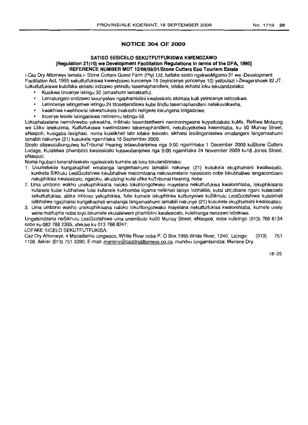#### NO.1719 **29**

### **NOTICE 304 OF 2009**

#### **SATISO SESICELO SEKUTFUTFUKISWA KWENDZAWO [Regulation 21(10) we Development Facilitation Regulations in terms of the DFA, 1995] REFERENCE NUMBER MDT 12{OB/09/01/StoneCutters Eco Tourism Estate**

i-Caz Dry Attorneys lemela i- Stone Cutters Guest Farm (Pty) Ltd, bafake sicelo ngekweMgomo 31 we -Development Facilitation Act, 1995 sekutfutfukiswa kwendzawo kuncenye 18 (leyincenye yencenye 10) yelipulazi i-Zwagershoek 82 JT. Lokutfutfukiswa kutofaka ekhatsi indzawo yetindlu tasemaphandleni, lefaka ekhatsi loku lekulandzelako:

- Kusikwa tincenye letingu 30 (amashumi lamatsatfu).
- Lemalungelo endzawo Javunyelwe ngaphambilini kwalesicelo atohlala ku6 yetincenye letitosikwa.
- Letincenye letingetiwe ietingu-24 titosetjendiswa kube tindlu tasemaphandleni netekuvakasha.
- kwakhiwa kwehhovisi lekwamukela tivakashi neligede lokungena leligadziwe.
- Incenye lesele lelinganiswa netinsimu letingu-58.

Lokuphatselene nemidvwebo yekwakha, mibhalo lesemtsetfweni nemininingwane kuyatfolakala kuMs. Refilwe Motaung we Litiko letekulima, Kutfutfukiswa kwetindzawo takemaphandleni, nekubuyeketwa kwemhlaba, ku 50 Murray Street, eNaspoti, kusigaba lesiphasi, noma kulelikheli lalo lofake lesicelo, sikhatsi lesilinganiselwa emalangeni langemashumi lamabili nakunye (21) kusukela ngamhlaka 18 September 2009.

Sicelo sitawucubungulwa kuTribunal Hearing letawubanjelwa nga 9:00 ngamhlaka 1 December 2009 kuStone Cutters Lodage, Kulalelwa phambilini kwalesicelo kutawubanjelwa nga 9:00 ngamhilaka 24 November 2009 ku18 Jones Street, eNaspoti.

Noma ngubani lonenshisekelo ngalesicelo kumele ati loku lokulandzelako:

- 1. Uvumelekile kungakapheli emalanga langemashumi lamabili nakunye (21) kusukela ekuphumeni kwalesicelo, kuniketa SiKhulu LesiGcotshiwe lokubhaliwe macondzana nekuvumelana nalesicelo nobe lokubhaliwe lengacondzani nekuphikisa kwalesicelo, ngaloku, akudzingi kutsi ufike kuTribunal Hearing, nobe
- 2. Uma umbono wakho unekuphikisana naloko lokuhlongotwako mayelana nekutfutfukisa kwalomhlaba, lekuphikisana kufanele kube kubhaliwe futsi kufanele kukhombe Iigama nelikheli laloyo lobhalilie, kutsi uhl;obane ngani kulesicelo sekutfutfukisa, abike inhloso yekuphikisa, futsi kumele lekuphikisa kutfunyelwe kuSikhulu LesiGcotshiwe kulelikheli lelibhalwe ngaphansi kungakapheli emalanga langamashumi lamabili nakunye (21) kusukela ekuphumeni kwalesatiso.
- 3. Uma umbono wakho unekuphikisana naloko lokuhlongotwako mayelana nekutfutfukisa kwalomhlaba, kumele uvele wena matfupha nobe loyo lokumele ekulalelweni phambilini kwalesicelo, kulelilanga nenzawo lebekiwe.

Ungatsindzana neSikhulu LesiGcotshiwe urna unemibuto ku50 Murray Street, eNaspoti, nobe kulicingo (013) 7666134 nobe ku 082 788 2395, ufekise ku 013 766 8247.

LOFAKE SICELO SEKUTFUTFUKISA:

Caz Dry Attorneys, 4 Macadamia umgwaco, White River nobe P. 0 Box 1995 White River, 1240. Licingo: (013) 751 1108, ifekisi: (013) 751 3280, E-mail: marlene@cazdryattorneys.co.za. mundvu longamtsindza: Marlene Dry.

18-25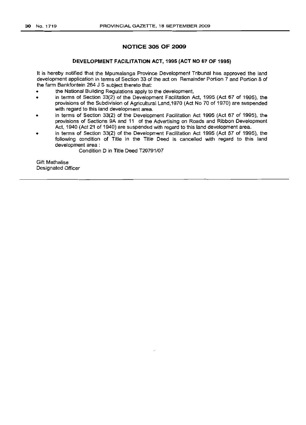#### **NOTICE** 305 OF 2009

#### DEVELOPMENT FACILITATION ACT, 1995 (ACT NO 67 OF 1995)

It is hereby notified that the Mpumalanga Province Development Tribunal has approved the land development application in terms of Section 33 of the act on Remainder Portion 7 and Portion 8 of the farm Bankfontein 264 J S subject thereto that:

- the National Building Regulations apply to the development,
- in terms of Section 33(2) of the Development Facilitation Act, 1995 (Act 67 of 1995), the provisions of the Subdivision of Agricultural Land,1970 (Act No 70 of 1970) are suspended with regard to this land development area.
- in terms of Section 33(2) of the Development Facilitation Act 1995 (Act 67 of 1995). the provisions of Sections 9A and 11 of the Advertising on Roads and Ribbon Development Act. 1940 (Act 21 of 1940) are suspended with regard to this land development area.
- in terms of Section 33(2) of the Development Facilitation Act 1995 (Act 67 of 1995), the following condition of Title in the Title Deed is cancelled with regard to this land development area:

Condition D in Title Deed T20791/07

Gift Mathalise Designated Officer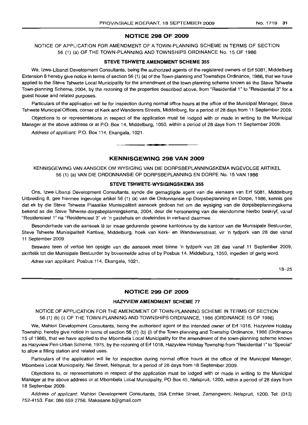#### **NOTICE 298 OF 2009**

#### NOTICE OF APPLICATION FOR AMENDMENT OF A TOWN-PLANNING SCHEME IN TERMS OF SECTION 56 (1) (a) OF THE TOWN-PLANNING AND TOWNSHIPS ORDINANCE No. 15 OF 1986

#### **STEVE: TSHWETE AMENDMENT SCHEME 355**

We, Izwe-Libanzi Development Consultants, being the authorized agents of the registered owners of Erf 5081, Middelburg Extension 8 hereby give notice in terms of section 56 (1) (a) of the Town-planning and Townships Ordinance, 1986, that we have applied to the Steve Tshwete Local Municipality for the amendment of the town-planning scheme known as the Steve Tshwete Town-planning Scheme, 2004, by the rezoning of the properties described above, from "Residential 1" to "Residential 3" for a guest house and related purposes.

Particulars of the application will lie for inspection during normal office hours at the office of the Municipal Manager, Steve Tshwete Municipal Offices, corner of Kerk and Wanderers Streets, Middelburg, for a period of 28 days from 11 September 2009.

Objections to or representations in respect of the application must be lodged with or made in writing to the Municipal Manager at the above address or at P.O. Box 14, Middelburg, 1050, within a period of 28 days from 11 September 2009.

Address of applicant: P.O. Box 114, Ekangala, 1021.

#### **KENNISGEWING 298 VAN 2009**

**-.**

KENNISGEWING VAN AANSOEK OM WYSIGING VAN DIE DORPSBEPLANNINGSKEMA INGEVOLGE ARTIKEL 56 (1) (a) VAN DIE ORDONNANSIE OP DORPSBEPLANNING EN DORPE No. 15 VAN 1986

#### **STEVE TSHWETE-WYSIGINGSKEMA 355**

Ons, Izwe-Libanzi Development Consultants, synde die gemagtigde agent van die eienaars van Erf 5081, Middelburg Uitbreiding 8, gee hiermee ingevolge artikel 56 (1) (a) van die Ordonnansie op Dorpsbeplanning en Dorpe, 1986, kennis gee dat ek by die Steve Tshwete Plaaslike Munisipaliteit aansoek gedoen het om die wysiging van die dorpsbeplanningskema bekend as die Steve Tshwete-dorpsbeplanningskema, 2004, deur die hersonering van die eiendomme hierbo beskryf, vanaf "Residensieel 1" na "Residensieel 3" vir 'n gastehuis en doeleindes in verband daarmee.

Besonderhede van die aansoek lê ter insae gedurende gewone kantoorure by die kantoor van die Munisipale Bestuurder, Steve Tshwete Munisipaliteit Kantore, Middelburg, hoek van Kerk- en Wanderersstraat, vir 'n tydperk van 28 dae vanaf 11 September 2009.

Besware teen of vertoe ten opsigte van die aansoek moet binne 'n tydperk van 28 dae vanaf 11 September 2009, skriftelik tot die Munisipale Bestuurder by bovermelde adres of by Posbus 14. Middelburg, 1050, ingedien of gerig word.

Adres van applikant: Posbus 114, Ekangala, 1021.

18-25

#### **NOTICE 299 OF 2009**

#### **HAZYVIEW AMENDMENT SCHEME** 77

NOTICE OF APPLICATION FOR THE AMENDMENT OF TOWN-PLANNING SCHEME IN TERMS OF SECTION 56 (1) (b) (i) OF THE TOWN-PLANNING AND TOWNSHIPS ORDINANCE, 1986 (ORDINANCE 15 OF 1986)

We, Mahlori Development Consultants, being the authorised agent of the intended owner of Erf 1018, Hazyview Holiday Township, hereby give notice in terms of section 56 (1) (b) (i) of the Town-planning and Township Ordinance, 1986 (Ordinance 15 of 1986), that we have applied to the Mbombela Local Municipality for the amendment of the town-planning scheme known as Hazyview Peri-Urban Scheme, 1975, by the rezoning of Erf 1018, Hazyview Holiday Township from "Residential 1" to "Special" to allow a filling station and related uses.

Particulars of the application will lie for inspection during normal office hours at the office of the Municipal Manager, Mbombela Local Municipality, Nel Street, Nelspruit, for a period of 28 days from 18 September 2009.

Objections to, or representations in respect of the application must be lodged with or made in writing to the Municipal Manager at the above address or at Mbombela Local Municipality, PO Box 45, Nelspruit, 1200, within a period of 28 days from 18 September 2009.

Address of applicant: Mahlori Development Consultants, 39A Emhke Street, Zamangweni, Nelspruit, 1200. Tel: (013) 752-4153. Fax: 086 659 2756. Makasane.b@gmail.com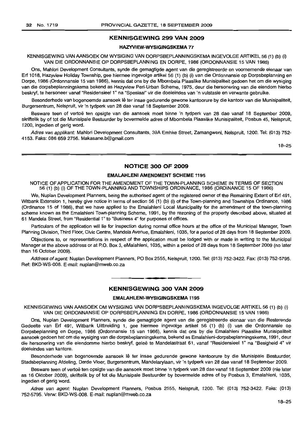### **KENNISGEWING 299 VAN 2009**

#### **HAZYVIEW-WYSIGINGSKEMA** 77

KENNISGEWING VAN AANSOEK OM WYSIGING VAN DORPSBEPLANNINGSKEMA INGEVOLGE ARTIKEL 56 (1) (b) (i) VAN DIE ORDONNANSIE OP DORPSBEPLANNING EN DORPE, 1986 (ORDONNANSIE 15 VAN 1986)

Ons, Mahlori Development Consultants, synde die gemagtigde agent van die geregistreerde en voornemende eienaar van Erf 1018, Hazyview Holiday Township, gee hiermee ingevolge artikel 56 (1) (b) (i) van die Ordonnansie op Dorpsbeplanning en Dorpe, 1986 (Ordonnansie 15 van 1986), kennis dat ons by die Mbombela Plaaslike Munisipaliteit gedoen het om die wysiging van die dorpsbeplanningskema bekend as Hazyview Peri-Urban Scheme, 1975, deur die hersonering van die eiendom hierbo beskryf, te hersoneer vanaf "Residensieel 1" na "Spesiaal" vir die doeleindes van 'n vulstasie en verwante gebruike.

Besonderhede van bogenoemde aansoek lê ter insae gedurende gewone kantoorure by die kantoor van die Munisipaliteit, Burgersentrum, Nelspruit, vir 'n tydperk van 28 dae vanaf 18 September 2009.

Besware teen of vertoe ten opsigte van die aansoek moet binne 'n tydperk van 28 dae vanaf 18 September 2009, skriftelik by of tot die Munisipale Bestuurder by bovermelde adres of Mbombela Plaaslike Munisipaliteit, Posbus 45, Nelspruit, 1200, ingedien of gerig word.

Adres van applikant: Mahlori Development Consultants, 39A Emhke Street, Zamangweni, Nelspruit, 1200. Tel: (013) 752- 4153. Faks: 086 659 2756. Makasane.b@gmail.com

18-25

#### **NOTICE 300 OF 2009**

#### **EMALAHLENI AMENDMENT SCHEME** 1195

NOTICE OF APPLICATION FOR THE AMENDMENT OF THE TOWN-PLANNING SCHEME IN TERMS OF SECTION 56 (1) (b) (i) OFTHE TOWN-PLANNING AND TOWNSHIPS ORDINANCE, 1986 (ORDINANCE 15 OF 1986)

We, Nuplan Development Planners, being the authorised agent of the registered owner of the Remaining Extent of Erf 491, Witbank Extension 1, hereby give notice in terms of section 56 (1) (b) (i) of the Town-planning and Townships Ordinance, 1986 (Ordinance 15 of 1986), that we have applied to the Emalahleni Local Municipality for the amendment of the town-planning scheme known as the Emalahleni Town-planning Scheme, 1991, by the rezoning of the property described above, situated at 61 Mandela Street, from "Residential 1" to "Business 4" for purposes of offices.

Particulars of the application will lie for inspection during normal office hours at the office of the Municipal Manager, Town Planning Division, Third Floor, Civic Centre, Mandela Avenue, Emalahleni, 1035, for a period of 28 days from 18 September 2009.

Objections to, or representations in respect of the application must be lodged with or made in writing to the Municipal Manager at the above address or at P.O. Box 3, eMalahleni, 1035, within a period of 28 days from 18 September 2009 (no later than 16 October 2009).

Address of agent: Nuplan Development Planners, PO Box 2555, Nelspruit, 1200. Tel: (013) 752-3422. Fax: (013) 752-5795. Ref: BKD-WS-008. E-mail: nuplan@mweb.co.za

#### **KENNISGEWING 300 VAN 2009**

**• •**

#### **EMALAHLENI-WYSIGINGSKEMA** 1195

KENNISGEWING VAN AANSOEK OM WYSIGING VAN DORPSBEPLANNINGSKEMA INGEVOLGE ARTIKEL 56 (1) (b) (i) VAN DIE ORDONNANSIE OP DORPSBEPLANNING EN DORPE, 1986 (ORDONNANSIE 15 VAN 1986)

Ons, Nuplan Development Planners, synde die gemagtigde agent van die geregistreerde eienaar van die Resterende Gedeelte van Erf 491, Witbank Uitbreiding 1, gee hiermee ingevolge artikel 56 (1) (b) (i) van die Ordonnansie op Dorpsbeplanning en Dorpe, 1986 (Ordonnansie 15 van 1986), kennis dat ons by die Emalahleni Plaaslike Munisipaliteit aansoek gedoen het om die wysiging van die dorpsbeplanningskema, bekend as Emalahleni-dorpsbeplanningskema, 1991, deur die hersonering van die eiendomme hierbo beskryf, gelee te Mandelastraat 61, vanaf "Residensieel 1" na "Besigheid 4" vir doeleindes van kantore.

Besonderhede van bogenoemde aansoek lê ter insae gedurende gewone kantoorure by die Munisipale Bestuurder, Stadsbeplanning Afdeling, Derde Vloer, Burgersentrum, Mandelarylaan, vir 'n tydperk van 28 dae vanaf 18 September 2009.

Besware teen of vertoë ten opsigte van die aansoek moet binne 'n tydperk van 28 dae vanaf 18 September 2009 (nie later as 16 Oktober 2009), skriftelik by of tot die Munisipale Bestuurder by bovermelde adres of by Posbus 3, Emalahleni, 1035, ingedien of gerig word.

Adres van agent: Nuplan Development Planners, Posbus 2555, Nelspruit, 1200. Tel: (013) 752-3422. Faks: (013) 752-5795. Verw: BKD-WS-008. E-mail: nuplan@mweb.co.za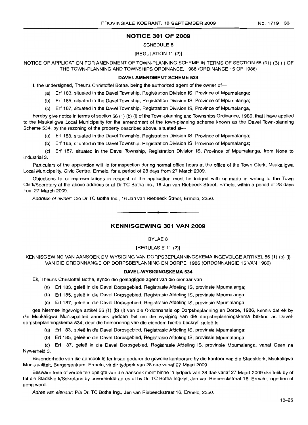### **NOTICE 301 OF 2009**

#### SCHEDULE 8

#### [REGULATION 11 (2)]

NOTICE OF APPLICATION FOR AMENDMENT OF TOWN-PLANNING SCHEME IN TERMS OF SECTION 56 (91) (B) (I) OF THE TOWN-PLANNING AND TOWNSHIPS ORDINANCE, 1986 (ORDINANCE 15 OF 1986)

#### **IDAVELAMENDMENT SCHEME 534**

I, the undersigned, Theuns Christoffel Botha, being the authorized agent of the owner of-

(a) Erf 183, situated in the Davel Township, Registration Division IS, Province of Mpumalanga;

(b) Erf 185, situated in the Davel Township, Registration Division IS, Province of Mpumalanga;

(c) Erf 187, situated in the Davel Township, Registration Division IS, Province of Mpumalanga,

hereby give notice in terms of section 56 (1) (b) (i) of the Town-planning and Townships Ordinance, 1986, that I have applied to the Msukaligwa Local Municipality for the amendment of the town-planning scheme known as the Davel Town-planning Scheme 534, by the rezoning of the property described above, situated at---

(a) Erf 183, situated in the Davel Township, Registration Division IS, Province of Mpumalanga;

(b) Erf 185, situated in the Davel Township, Registration Division IS, Province of Mpumalanga;

(c) Erf 187, situated in the Davel Township, Registration Division IS, Province of Mpumalanga, from None to Industrial 3.

Particulars of the application will lie for inspection during normal office hours at the office of the Town Clerk, Msukaligwa Local Municipality, Civic Centre, Ermelo, for a period of 28 days from 27 March 2009.

Objections to or representations in respect of the application must be lodged with or made in writing to the Town Clerk/Secretary at the above address or at Dr TC Botha Inc., 16 Jan van Riebeeck Street, Ermelo, within a period of 28 days from 27 March 2009.

Address of owner: C/o Dr TC Botha Inc., 16 Jan van Riebeeck Street, Ermelo, 2350.

### **KENNISGEWING 301 VAN 2009**

**• •**

#### BYLAE 8

#### [REGULASIE 11 (2)]

KENNISGEWING VAN AANSOEK OM WYSIGING VAN DORPSBEPLANNINGSKEMA INGEVOLGE ARTIKEL 56 (1) (b) (i) VAN DIE ORDONNANSIE OP DORPSBEPLANNING EN DORPE, 1986 (ORDONNANSIE 15 VAN 1986)

#### **DAVEL-WYSIGINGSKEMA 534**

Ek, Theuns Christoffel Botha, synde die gemagtigde agent van die eienaar van-

- (a) Erf 183, geleë in die Davel Dorpsgebied, Registrasie Afdeling IS, provinsie Mpumalanga;
- (b) Erf 185, gelee in die Davel Dorpsgebied, Registrasie Afdeling IS, provinsie Mpumalanga;

(c) Erf 187, gelee in die Davel Dorpsgebied, Registrasie Afdeling IS, provinsie Mpumalanga,

gee hiermee ingevolge artikel 56 (1) (b) (i) van die Ordonnansie op Dorpsbeplanning en Dorpe, 1986, kennis dat ek by die Msukaligwa Munisipaliteit aansoek gedoen het om die wysiging van die dorpsbeplanningskema bekend as Daveldorpsbeplanningskema 534, deur die hersonering van die eiendom hierbo beskryf, geleë te-

(a) Erf 183, gelee in die Davel Dorpsgebied, Registrasie Afdeling IS, provinsie Mpumalanga;

(b) Erf 185, geleë in die Davel Dorpsgebied, Registrasie Afdeling IS, provinsie Mpumalanga;

(c) Erf 187, qelee in die Davel Dorpsgebied, Registrasie Afdeling IS, provinsie Mpumalanga, vanaf Geen na Nywerheid 3.

Besonderhede van die aansoek lê ter insae gedurende gewone kantoorure by die kantoor van die Stadsklerk, Msukaligwa Munisipaliteit, Burgersentrum, Ermelo, vir dir tydperk van 28 dae vanaf 27 Maart 2009.

Besware teen of vertoe ten opsigte van die aansoek moet binne 'n tydperk van 28 dae vanaf 27 Maart 2009 skriftelik by of tot die Stadsklerk/Sekretaris by bovermelde adres of by Dr. TC Botha Ingelyf, Jan van Riebeeckstraat 16, Ermelo, ingedien of gerig word.

Adres van eienaar: Pia Dr. TC Botha Ing., Jan van Riebeeckstraat 16, Ermelo, 2350.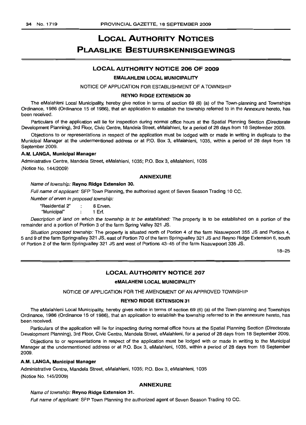# LOCAL AUTHORITY NOTICES PLAASLIKE BESTUURSKENNISGEWINGS

### LOCAL AUTHORITY NOTICE 206 OF 2009

#### EMALAHLENI LOCAL MUNICIPALITY

#### NOTICE OF APPLICATION FOR ESTABLISHMENT OF A TOWNSHIP

#### REYNO RIDGE EXTENSION 30

The eMalahleni Local Municipality, hereby give notice in terms of section 69 (6) (a) of the Town-planning and Townships Ordinance, 1986 (Ordinance 15 of 1986), that an application to establish the township referred to in the Annexure hereto, has been received.

Particulars of the application will lie for inspection during normal office hours at the Spatial Planning Section (Directorate Development Planning), 3rd Floor, Civic Centre, Mandela Street, eMalahleni, for a period of 28 days from 18 September 2009.

Objections to or representations in respect of the application must be lodged with or made in writing in duplicate to the Municipal Manager at the undermentioned address or at P.O. Box 3, eMalahleni, 1035, within a period of 28 days from 18 September 2009.

#### A.M. LANGA, Municipal Manager

Administrative Centre, Mandela Street, eMalahleni, 1035; P.O. Box 3, eMalahleni, 1035 (Notice No. 144/2009)

#### ANNEXURE

#### Name of township: Reyno Ridge Extension 30.

Full name of applicant: SFP Town Planning, the authorized agent of Seven Season Trading 10 CC.

Number of erven in proposed township:

"Residential 2" : 8 Erven. "Municipal" 1 Erf.

Description of land on which the township is to be established: The property is to be established on a portion of the remainder and a portion of Portion 3 of the farm Spring Valley 321 JS.

Situation proposed township: The property is situated north of Portion 4 of the farm Naauwpoort 355 JS and Portion 4, 5 and 9 of the farm Springvalley 321 JS, east of Portion 70 of the farm Springvalley 321 JS and Reyno Ridge Extension 6, south of Portion 2 of the farm Springvalley 321 JS and west of Portions 43-45 of the farm Naauwpoort 335 JS.

18-25

#### LOCAL AUTHORITY NOTICE 207

#### eMALAHENI LOCAL MUNICIPALITY

NOTICE OF APPLICATION FOR THE AMENDMENT OF AN APPROVED TOWNSHIP

#### REYNO RIDGE EXTENSION 31

The eMalahleni Local Municipality, hereby gives notice in terms of section 69 (6) (a) of the Town-planning and Townships Ordinance, 1986 (Ordinance 15 of 1986), that an application to establish the township referred to in the annexure hereto, has been received.

Particulars of the application will lie for inspecting during normal office hours at the Spatial Planning Section (Directorate Development Planning), 3rd Floor, Civic Centre, Mandela Street, eMalahleni, for a period of 28 days from 18 September 2009.

Objections to or representations in respect of the application must be lodged with or made in writing to the Municipal Manager at the undermentioned address or at P.O. Box 3, eMalahleni, 1035, within a period of 28 days from 18 September 2009.

#### A.M. LANGA, Municipal Manager

Administrative Centre, Mandela Street, eMalahleni, 1035; P.O. Box 3, eMalahleni, 1035 (Notice No. 145/2009)

#### ANNEXURE

#### Name of township: Reyno Ridge Extension 31.

Full name of applicant: SFP Town Planning the authorized agent of Seven Season Trading 10 CC.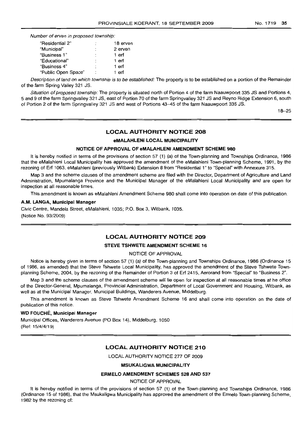Number of erven in proposed township:

| "Residential 2"     | ٠ | 18 erver |
|---------------------|---|----------|
| "Municipal"         |   | 2 erven  |
| "Business 1"        | ٠ | 1 erf    |
| "Educational"       | ٠ | 1 erf    |
| "Business 4"        | ٠ | 1 erf    |
| "Public Open Space" | ÷ | erf      |

Description of land on which township is to be established: The property is to be established on a portion of the Remainder of the farm Spring Valley 321 JS.

Situation of proposed township: The property is situated north of Portion 4 of the farm Naauwpoort 335 JS and Portions 4, 5 and 9 of the farm Springvalley 321 JS, east of Portion 70 of the farm Springvalley 321 JS and Reyno Ridge Extension 6, south of Portion 2 of the farm Springvalley 321 JS and west of Portions 43-45 of the farm Naauwpoort 335 JS.

18-25

### LOCAL AUTHORITY NOTICE 208

#### eMALAHLENI LOCAL MUNICIPALITY

#### NOTICE OF APPROVAL OF eMALAHLENI AMENDMENT SCHEME 980

It is hereby notified in terms of the provisions of section 57 (1) (a) of the Town-planning and Townships Ordinance, 1986 that the eMalahleni Local Municipality has approved the amendment of the eMalahleni Town-planning Scheme, 1991, by the rezoning of Erf 1063, eMalahleni (previously Witbank) Extension 8 from "Residential 1" to "Special" with Annexure 315.

Map 3 and the scheme clauses of the amendment scheme are filed with the Director, Department of Agriculture and Land Administration, Mpumalanga Province and the Municipal Manager of the eMalahleni Local Municipality and are open for inspection at all reasonable times.

This amendment is known as eMalahleni Amendment Scheme 980 shall come into operation on date of this publication.

#### A.M. LANGA, Municipal Manager

Civic Centre, Mandela Street, eMalahleni, 1035; P.O. Box 3, Witbank, 1035. (Notice No. 93/2009)

### LOCAL AUTHORITY NOTICE 209

#### STEVE TSHWETE AMENDMENT SCHEME 16

#### NOTICE OF APPROVAL

Notice is hereby given in terms of section 57 (1) (a) of the Town-planninq and Townships Ordinance, 1986 (Ordinance 15 of 1986, as amended) that the Steve Tshwete Local Municipality, has approved the amendment of the Steve Tshwete Townplanning Scheme, 2004, by the rezoning of the Remainder of Portion 3 of Erf 2415, Aerorand from "Special" to "Business 2".

Map 3 and the scheme clauses of the amendment scheme will lie open for inspection at all reasonable times at he office of the Director-General, Mpumalanga, Provincial Administration, Department of Local Government and Housing, Witbank, as well as at the Municipal Manager, Municipal Buildings, Wanderers Avenue, Middelburg.

This amendment is known as Steve Tshwete Amendment Scheme 16 and shall come into operation on the date of publication of this notice.

#### WD FOUCHE, Municipal Manager

Municipal Offices, Wanderers Avenue (PO Box 14), Middelburg, 1050 (Ref: 15/4/4/19)

#### LOCAL AUTHORITY NOTICE 210

LOCAL AUTHORITY NOTICE 277 OF 2009

#### MSUKALIGWA MUNICIPALITY

#### ERMELO AMENDMENT SCHEMES 528 AND 537

NOTICE OF APPROVAL

It is hereby notified in terms of the provisions of section 57 (1) of the Town-planning and Townships Ordinance, 1986 (Ordinance 15 of 1986), that the Msukaligwa Municipality has approved the amendment of the Ermelo Town-planning Scheme, 1982 by the rezoning of: